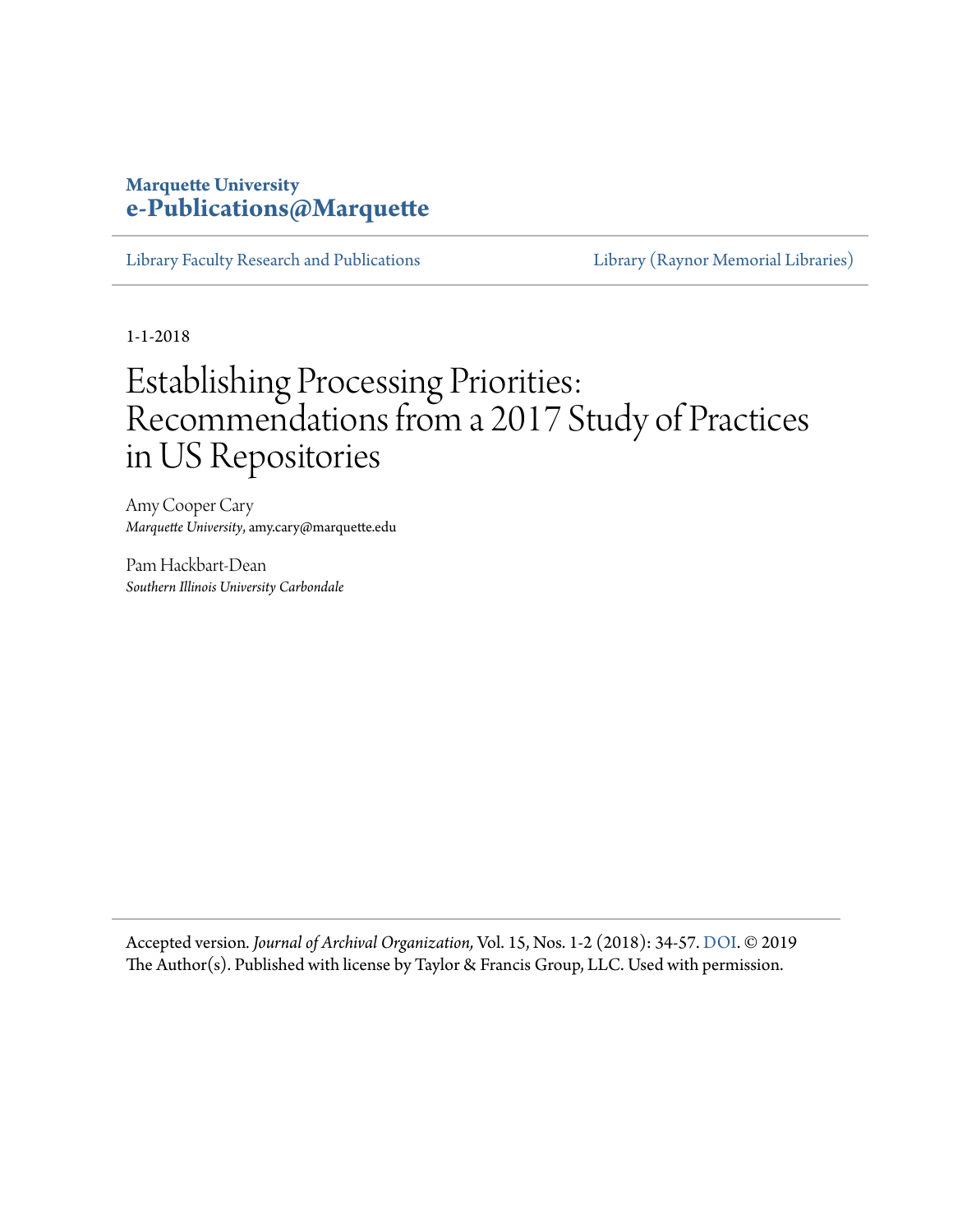### **Marquette University [e-Publications@Marquette](https://epublications.marquette.edu/)**

[Library Faculty Research and Publications](https://epublications.marquette.edu/lib_fac) [Library \(Raynor Memorial Libraries\)](https://epublications.marquette.edu/library)

1-1-2018

## Establishing Processing Priorities: Recommendations from a 2017 Study of Practices in US Repositories

Amy Cooper Cary *Marquette University*, amy.cary@marquette.edu

Pam Hackbart-Dean *Southern Illinois University Carbondale*

Accepted version*. Journal of Archival Organization,* Vol. 15, Nos. 1-2 (2018): 34-57. [DOI](https://dx.doi.org/10.1080/15332748.2019.1609309). © 2019 The Author(s). Published with license by Taylor & Francis Group, LLC. Used with permission.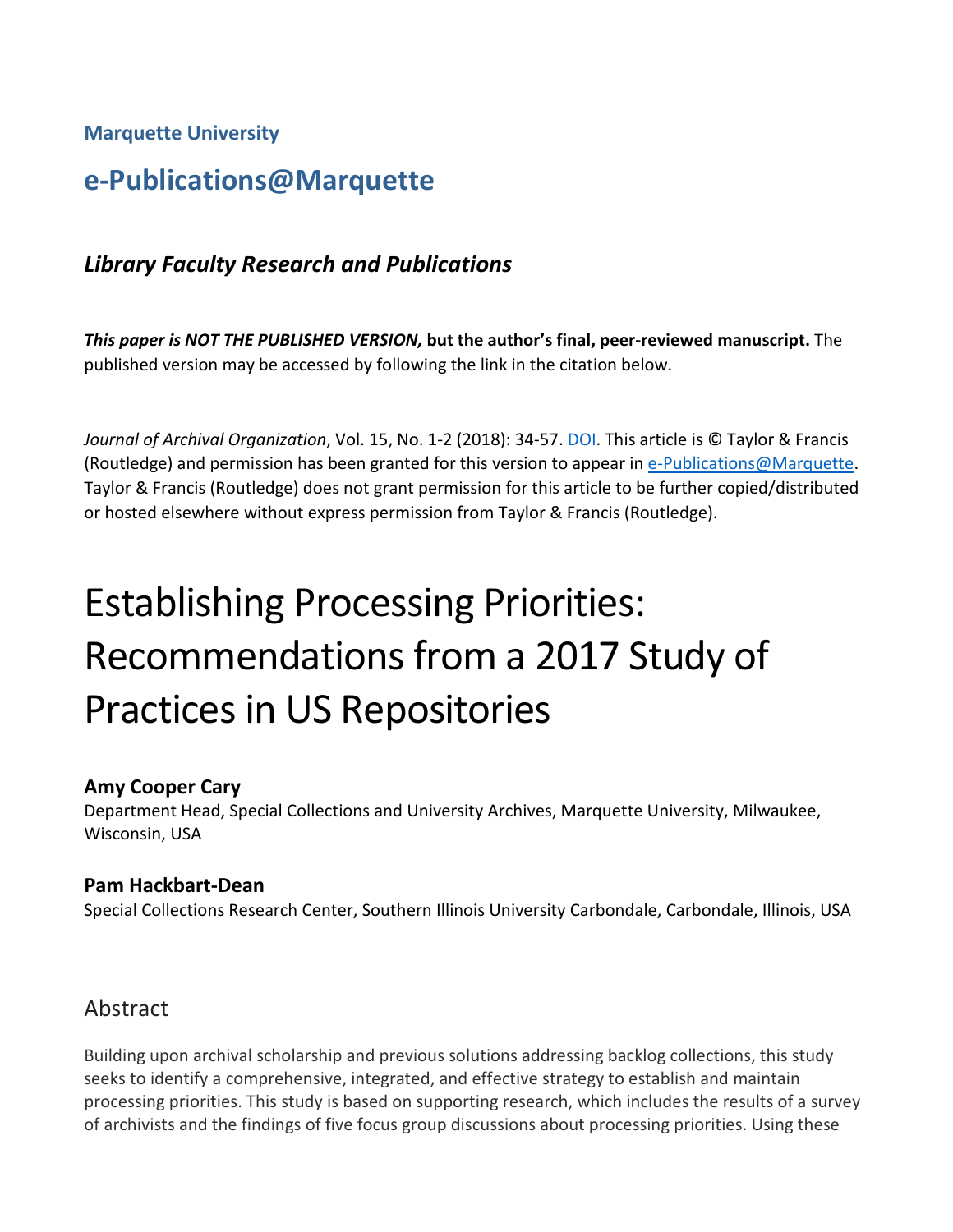**Marquette University**

## **e-Publications@Marquette**

## *Library Faculty Research and Publications*

*This paper is NOT THE PUBLISHED VERSION,* **but the author's final, peer-reviewed manuscript.** The published version may be accessed by following the link in the citation below.

*Journal of Archival Organization*, Vol. 15, No. 1-2 (2018): 34-57[. DOI.](https://dx.doi.org/10.1080/15332748.2019.1609309) This article is © Taylor & Francis (Routledge) and permission has been granted for this version to appear in [e-Publications@Marquette.](http://epublications.marquette.edu/) Taylor & Francis (Routledge) does not grant permission for this article to be further copied/distributed or hosted elsewhere without express permission from Taylor & Francis (Routledge).

# Establishing Processing Priorities: Recommendations from a 2017 Study of Practices in US Repositories

#### **Amy Cooper Cary**

Department Head, Special Collections and University Archives, Marquette University, Milwaukee, Wisconsin, USA

#### **Pam Hackbart-Dean**

Special Collections Research Center, Southern Illinois University Carbondale, Carbondale, Illinois, USA

## Abstract

Building upon archival scholarship and previous solutions addressing backlog collections, this study seeks to identify a comprehensive, integrated, and effective strategy to establish and maintain processing priorities. This study is based on supporting research, which includes the results of a survey of archivists and the findings of five focus group discussions about processing priorities. Using these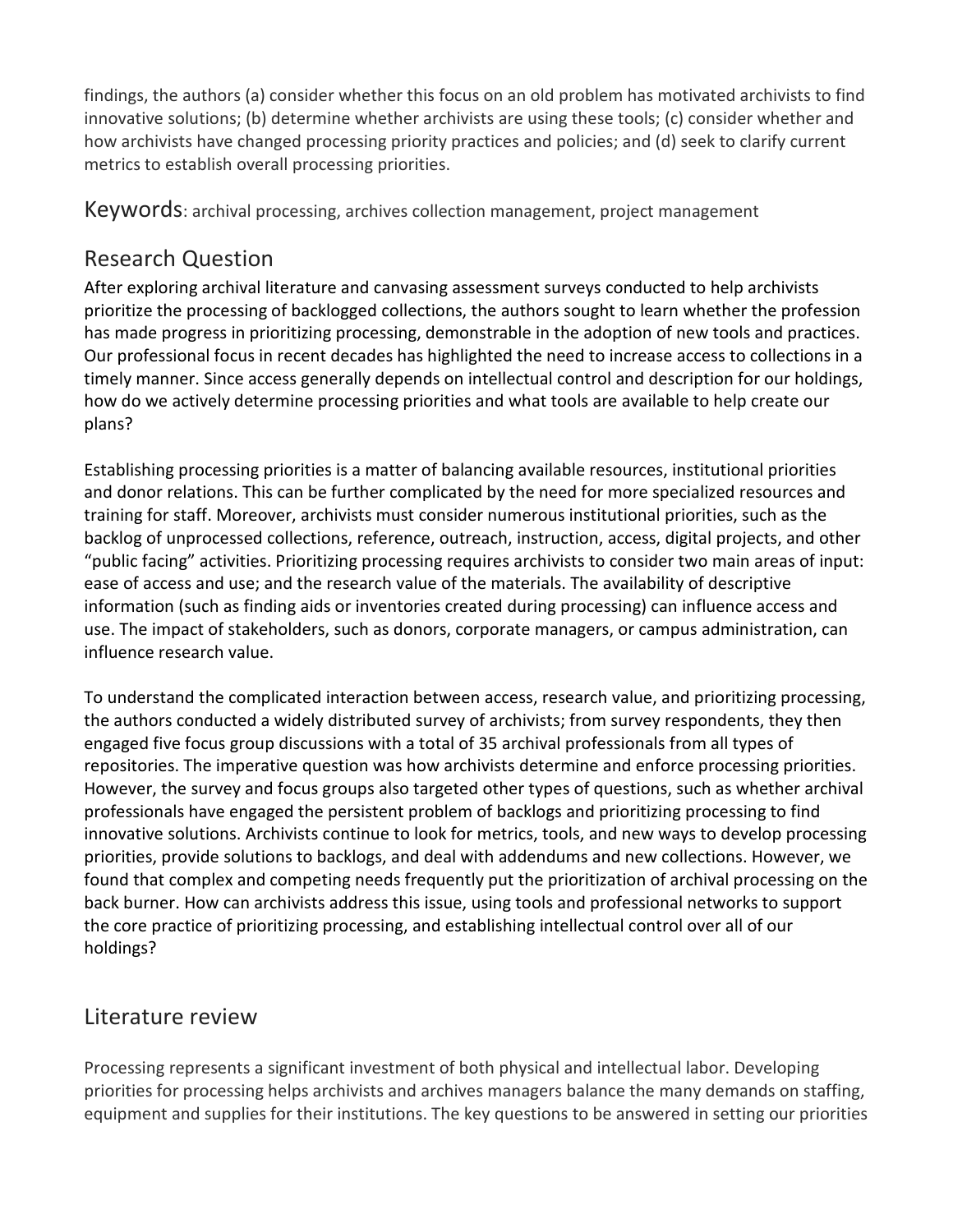findings, the authors (a) consider whether this focus on an old problem has motivated archivists to find innovative solutions; (b) determine whether archivists are using these tools; (c) consider whether and how archivists have changed processing priority practices and policies; and (d) seek to clarify current metrics to establish overall processing priorities.

Keywords: archival processing, archives collection management, project management

## Research Question

After exploring archival literature and canvasing assessment surveys conducted to help archivists prioritize the processing of backlogged collections, the authors sought to learn whether the profession has made progress in prioritizing processing, demonstrable in the adoption of new tools and practices. Our professional focus in recent decades has highlighted the need to increase access to collections in a timely manner. Since access generally depends on intellectual control and description for our holdings, how do we actively determine processing priorities and what tools are available to help create our plans?

Establishing processing priorities is a matter of balancing available resources, institutional priorities and donor relations. This can be further complicated by the need for more specialized resources and training for staff. Moreover, archivists must consider numerous institutional priorities, such as the backlog of unprocessed collections, reference, outreach, instruction, access, digital projects, and other "public facing" activities. Prioritizing processing requires archivists to consider two main areas of input: ease of access and use; and the research value of the materials. The availability of descriptive information (such as finding aids or inventories created during processing) can influence access and use. The impact of stakeholders, such as donors, corporate managers, or campus administration, can influence research value.

To understand the complicated interaction between access, research value, and prioritizing processing, the authors conducted a widely distributed survey of archivists; from survey respondents, they then engaged five focus group discussions with a total of 35 archival professionals from all types of repositories. The imperative question was how archivists determine and enforce processing priorities. However, the survey and focus groups also targeted other types of questions, such as whether archival professionals have engaged the persistent problem of backlogs and prioritizing processing to find innovative solutions. Archivists continue to look for metrics, tools, and new ways to develop processing priorities, provide solutions to backlogs, and deal with addendums and new collections. However, we found that complex and competing needs frequently put the prioritization of archival processing on the back burner. How can archivists address this issue, using tools and professional networks to support the core practice of prioritizing processing, and establishing intellectual control over all of our holdings?

## Literature review

Processing represents a significant investment of both physical and intellectual labor. Developing priorities for processing helps archivists and archives managers balance the many demands on staffing, equipment and supplies for their institutions. The key questions to be answered in setting our priorities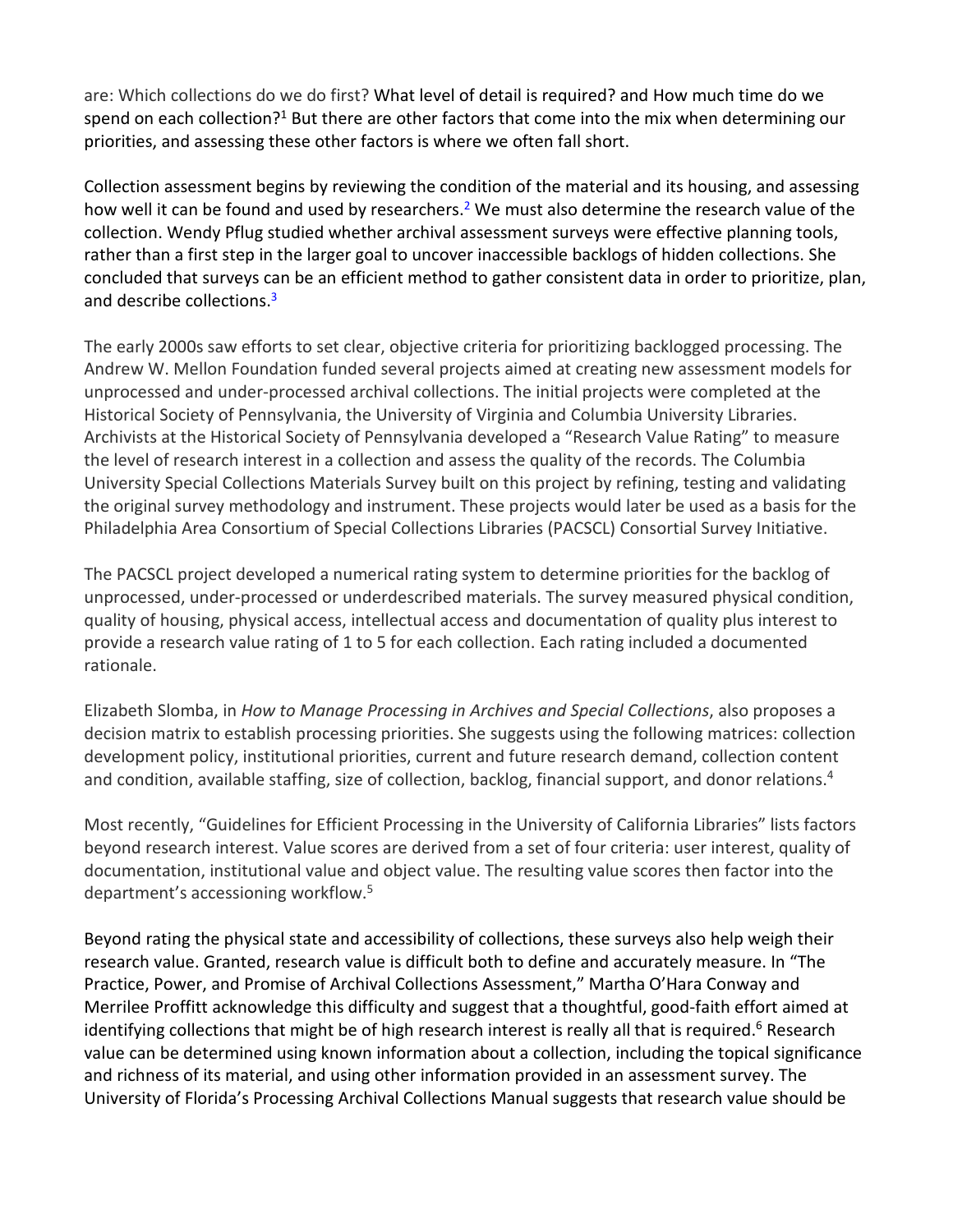are: Which collections do we do first? What level of detail is required? and How much time do we spend on each collection?<sup>1</sup> But there are other factors that come into the mix when determining our priorities, and assessing these other factors is where we often fall short.

Collection assessment begins by reviewing the condition of the material and its housing, and assessing how well it can be found and used by researchers.<sup>2</sup> We must also determine the research value of the collection. Wendy Pflug studied whether archival assessment surveys were effective planning tools, rather than a first step in the larger goal to uncover inaccessible backlogs of hidden collections. She concluded that surveys can be an efficient method to gather consistent data in order to prioritize, plan, and describe collections.<sup>3</sup>

The early 2000s saw efforts to set clear, objective criteria for prioritizing backlogged processing. The Andrew W. Mellon Foundation funded several projects aimed at creating new assessment models for unprocessed and under-processed archival collections. The initial projects were completed at the Historical Society of Pennsylvania, the University of Virginia and Columbia University Libraries. Archivists at the Historical Society of Pennsylvania developed a "Research Value Rating" to measure the level of research interest in a collection and assess the quality of the records. The Columbia University Special Collections Materials Survey built on this project by refining, testing and validating the original survey methodology and instrument. These projects would later be used as a basis for the Philadelphia Area Consortium of Special Collections Libraries (PACSCL) Consortial Survey Initiative.

The PACSCL project developed a numerical rating system to determine priorities for the backlog of unprocessed, under-processed or underdescribed materials. The survey measured physical condition, quality of housing, physical access, intellectual access and documentation of quality plus interest to provide a research value rating of 1 to 5 for each collection. Each rating included a documented rationale.

Elizabeth Slomba, in *How to Manage Processing in Archives and Special Collections*, also proposes a decision matrix to establish processing priorities. She suggests using the following matrices: collection development policy, institutional priorities, current and future research demand, collection content and condition, available staffing, size of collection, backlog, financial support, and donor relations.4

Most recently, "Guidelines for Efficient Processing in the University of California Libraries" lists factors beyond research interest. Value scores are derived from a set of four criteria: user interest, quality of documentation, institutional value and object value. The resulting value scores then factor into the department's accessioning workflow.5

Beyond rating the physical state and accessibility of collections, these surveys also help weigh their research value. Granted, research value is difficult both to define and accurately measure. In "The Practice, Power, and Promise of Archival Collections Assessment," Martha O'Hara Conway and Merrilee Proffitt acknowledge this difficulty and suggest that a thoughtful, good-faith effort aimed at identifying collections that might be of high research interest is really all that is required.<sup>6</sup> Research value can be determined using known information about a collection, including the topical significance and richness of its material, and using other information provided in an assessment survey. The University of Florida's Processing Archival Collections Manual suggests that research value should be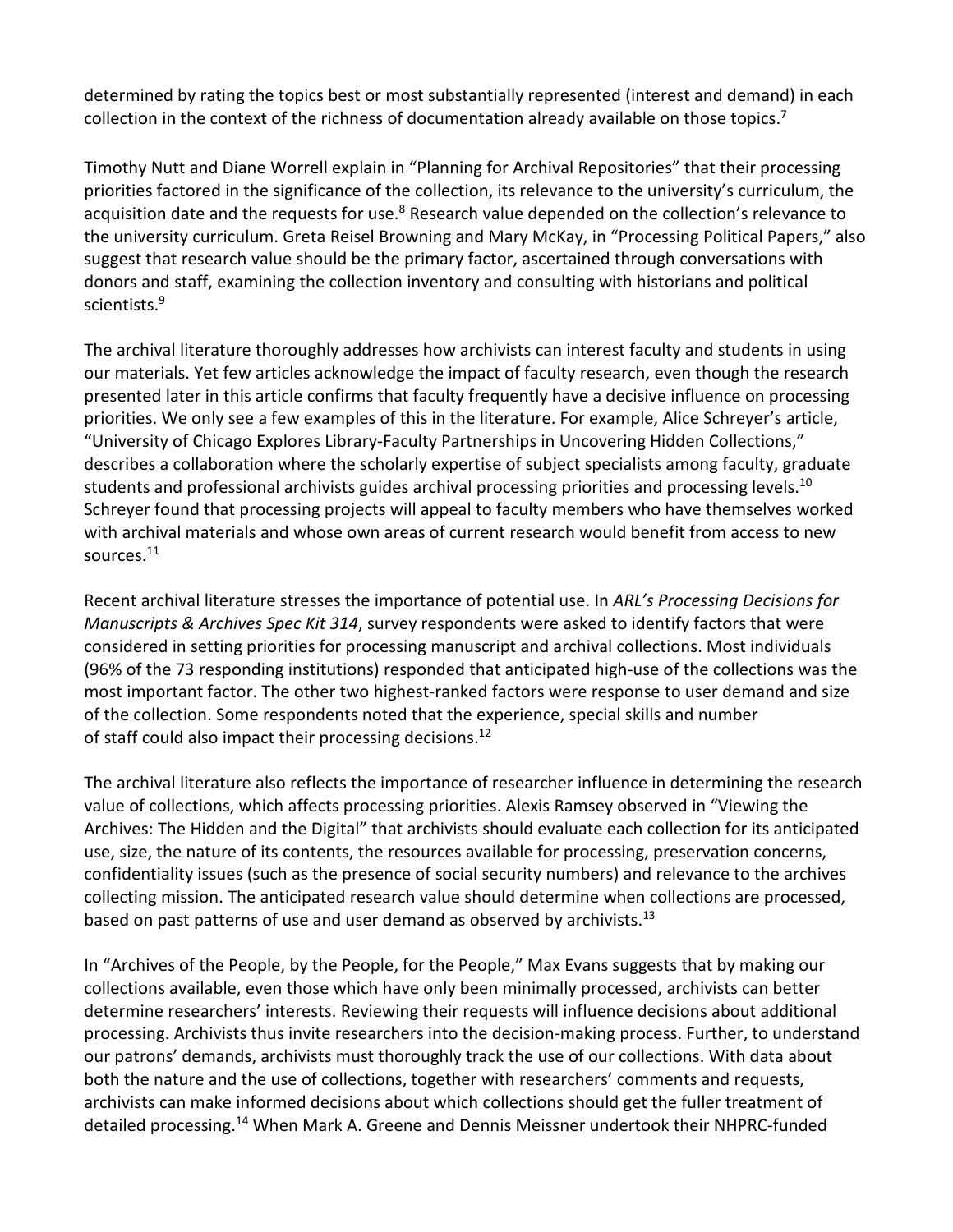determined by rating the topics best or most substantially represented (interest and demand) in each collection in the context of the richness of documentation already available on those topics.<sup>7</sup>

Timothy Nutt and Diane Worrell explain in "Planning for Archival Repositories" that their processing priorities factored in the significance of the collection, its relevance to the university's curriculum, the acquisition date and the requests for use.<sup>8</sup> Research value depended on the collection's relevance to the university curriculum. Greta Reisel Browning and Mary McKay, in "Processing Political Papers," also suggest that research value should be the primary factor, ascertained through conversations with donors and staff, examining the collection inventory and consulting with historians and political scientists.9

The archival literature thoroughly addresses how archivists can interest faculty and students in using our materials. Yet few articles acknowledge the impact of faculty research, even though the research presented later in this article confirms that faculty frequently have a decisive influence on processing priorities. We only see a few examples of this in the literature. For example, Alice Schreyer's article, "University of Chicago Explores Library-Faculty Partnerships in Uncovering Hidden Collections," describes a collaboration where the scholarly expertise of subject specialists among faculty, graduate students and professional archivists guides archival processing priorities and processing levels.<sup>10</sup> Schreyer found that processing projects will appeal to faculty members who have themselves worked with archival materials and whose own areas of current research would benefit from access to new sources.11

Recent archival literature stresses the importance of potential use. In *ARL's Processing Decisions for Manuscripts & Archives Spec Kit 314*, survey respondents were asked to identify factors that were considered in setting priorities for processing manuscript and archival collections. Most individuals (96% of the 73 responding institutions) responded that anticipated high-use of the collections was the most important factor. The other two highest-ranked factors were response to user demand and size of the collection. Some respondents noted that the experience, special skills and number of staff could also impact their processing decisions.<sup>12</sup>

The archival literature also reflects the importance of researcher influence in determining the research value of collections, which affects processing priorities. Alexis Ramsey observed in "Viewing the Archives: The Hidden and the Digital" that archivists should evaluate each collection for its anticipated use, size, the nature of its contents, the resources available for processing, preservation concerns, confidentiality issues (such as the presence of social security numbers) and relevance to the archives collecting mission. The anticipated research value should determine when collections are processed, based on past patterns of use and user demand as observed by archivists.<sup>13</sup>

In "Archives of the People, by the People, for the People," Max Evans suggests that by making our collections available, even those which have only been minimally processed, archivists can better determine researchers' interests. Reviewing their requests will influence decisions about additional processing. Archivists thus invite researchers into the decision-making process. Further, to understand our patrons' demands, archivists must thoroughly track the use of our collections. With data about both the nature and the use of collections, together with researchers' comments and requests, archivists can make informed decisions about which collections should get the fuller treatment of detailed processing.<sup>14</sup> When Mark A. Greene and Dennis Meissner undertook their NHPRC-funded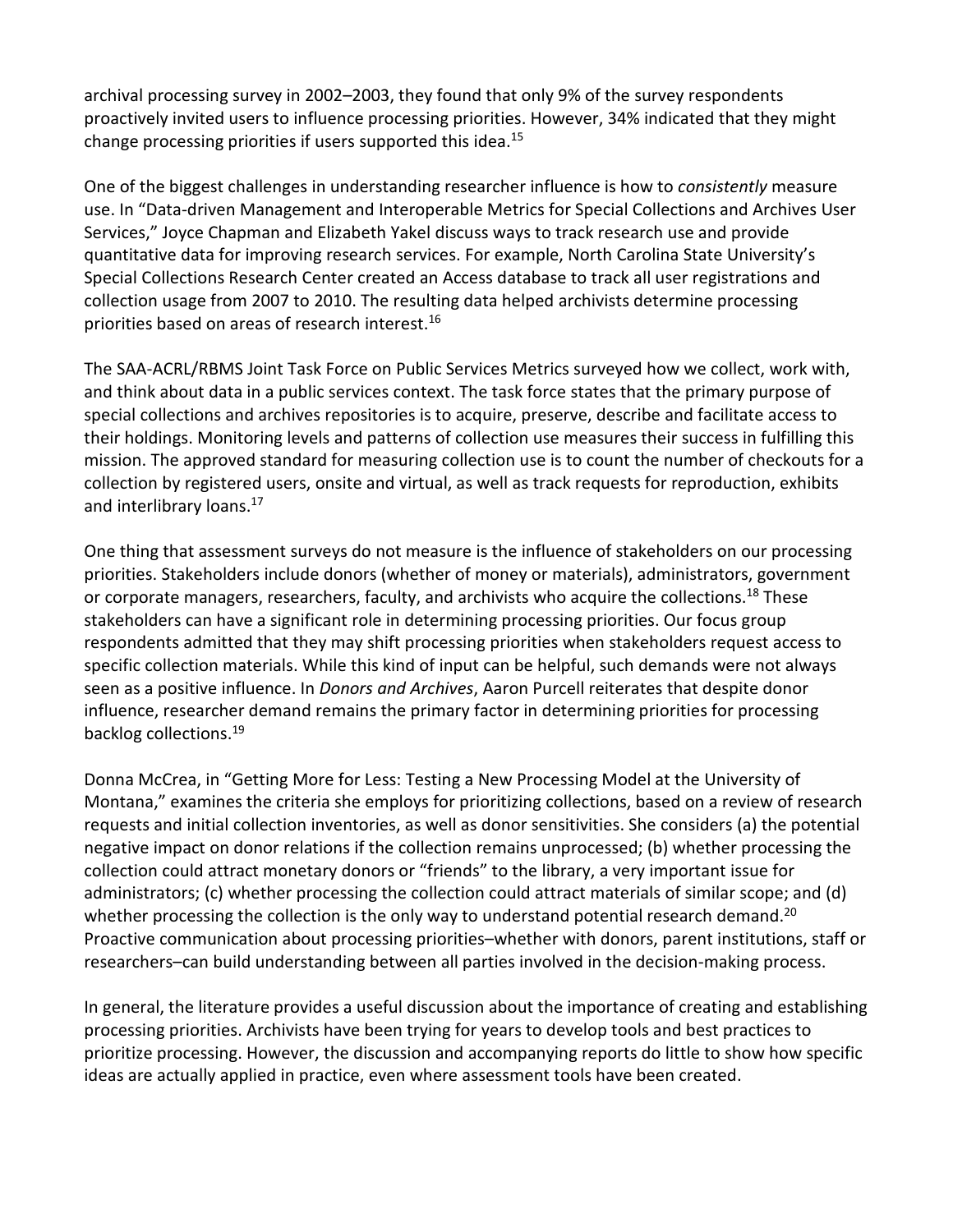archival processing survey in 2002–2003, they found that only 9% of the survey respondents proactively invited users to influence processing priorities. However, 34% indicated that they might change processing priorities if users supported this idea.15

One of the biggest challenges in understanding researcher influence is how to *consistently* measure use. In "Data-driven Management and Interoperable Metrics for Special Collections and Archives User Services," Joyce Chapman and Elizabeth Yakel discuss ways to track research use and provide quantitative data for improving research services. For example, North Carolina State University's Special Collections Research Center created an Access database to track all user registrations and collection usage from 2007 to 2010. The resulting data helped archivists determine processing priorities based on areas of research interest.16

The SAA-ACRL/RBMS Joint Task Force on Public Services Metrics surveyed how we collect, work with, and think about data in a public services context. The task force states that the primary purpose of special collections and archives repositories is to acquire, preserve, describe and facilitate access to their holdings. Monitoring levels and patterns of collection use measures their success in fulfilling this mission. The approved standard for measuring collection use is to count the number of checkouts for a collection by registered users, onsite and virtual, as well as track requests for reproduction, exhibits and interlibrary loans.<sup>17</sup>

One thing that assessment surveys do not measure is the influence of stakeholders on our processing priorities. Stakeholders include donors (whether of money or materials), administrators, government or corporate managers, researchers, faculty, and archivists who acquire the collections.<sup>18</sup> These stakeholders can have a significant role in determining processing priorities. Our focus group respondents admitted that they may shift processing priorities when stakeholders request access to specific collection materials. While this kind of input can be helpful, such demands were not always seen as a positive influence. In *Donors and Archives*, Aaron Purcell reiterates that despite donor influence, researcher demand remains the primary factor in determining priorities for processing backlog collections.19

Donna McCrea, in "Getting More for Less: Testing a New Processing Model at the University of Montana," examines the criteria she employs for prioritizing collections, based on a review of research requests and initial collection inventories, as well as donor sensitivities. She considers (a) the potential negative impact on donor relations if the collection remains unprocessed; (b) whether processing the collection could attract monetary donors or "friends" to the library, a very important issue for administrators; (c) whether processing the collection could attract materials of similar scope; and (d) whether processing the collection is the only way to understand potential research demand.<sup>20</sup> Proactive communication about processing priorities–whether with donors, parent institutions, staff or researchers–can build understanding between all parties involved in the decision-making process.

In general, the literature provides a useful discussion about the importance of creating and establishing processing priorities. Archivists have been trying for years to develop tools and best practices to prioritize processing. However, the discussion and accompanying reports do little to show how specific ideas are actually applied in practice, even where assessment tools have been created.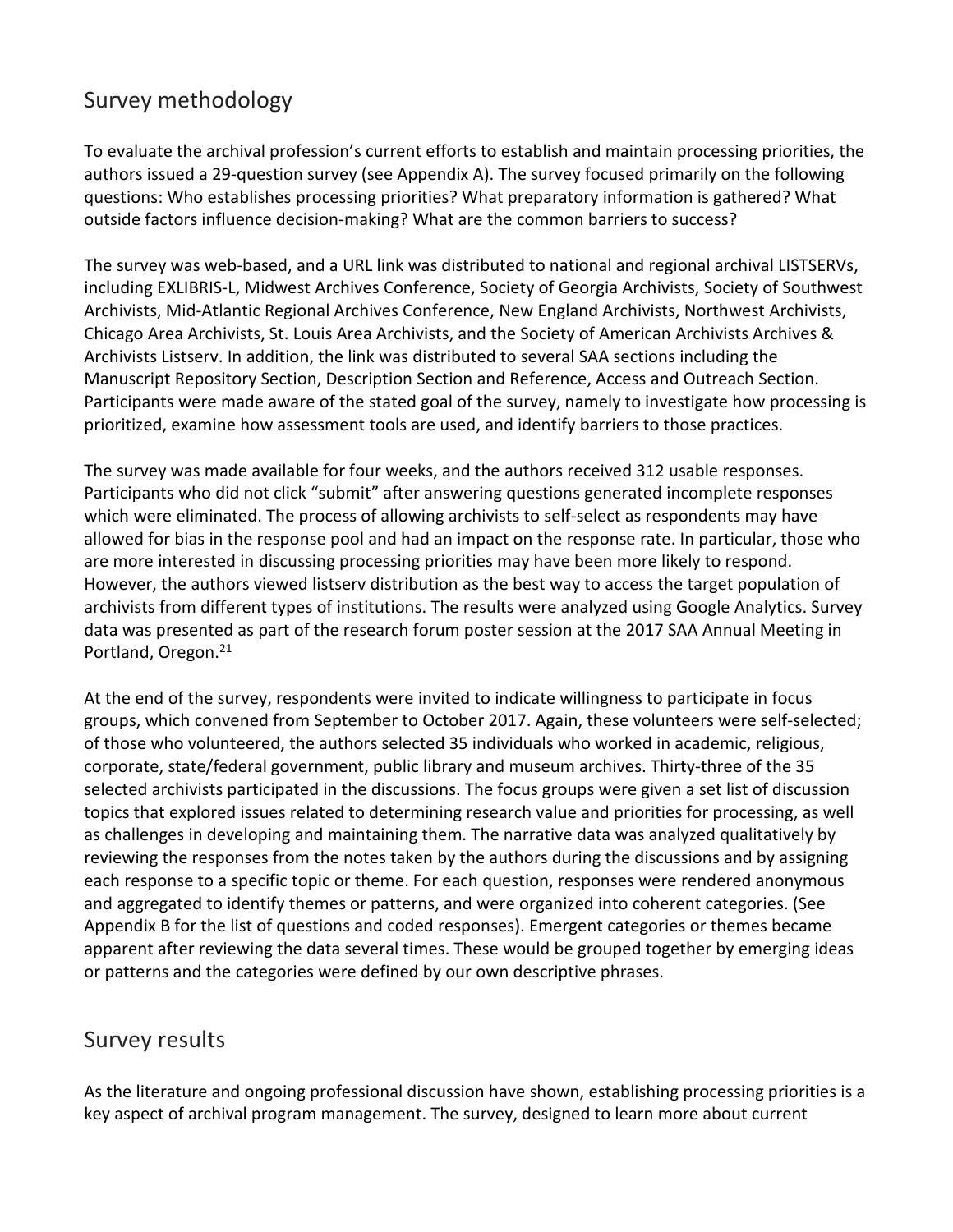## Survey methodology

To evaluate the archival profession's current efforts to establish and maintain processing priorities, the authors issued a 29-question survey (see Appendix A). The survey focused primarily on the following questions: Who establishes processing priorities? What preparatory information is gathered? What outside factors influence decision-making? What are the common barriers to success?

The survey was web-based, and a URL link was distributed to national and regional archival LISTSERVs, including EXLIBRIS-L, Midwest Archives Conference, Society of Georgia Archivists, Society of Southwest Archivists, Mid-Atlantic Regional Archives Conference, New England Archivists, Northwest Archivists, Chicago Area Archivists, St. Louis Area Archivists, and the Society of American Archivists Archives & Archivists Listserv. In addition, the link was distributed to several SAA sections including the Manuscript Repository Section, Description Section and Reference, Access and Outreach Section. Participants were made aware of the stated goal of the survey, namely to investigate how processing is prioritized, examine how assessment tools are used, and identify barriers to those practices.

The survey was made available for four weeks, and the authors received 312 usable responses. Participants who did not click "submit" after answering questions generated incomplete responses which were eliminated. The process of allowing archivists to self-select as respondents may have allowed for bias in the response pool and had an impact on the response rate. In particular, those who are more interested in discussing processing priorities may have been more likely to respond. However, the authors viewed listserv distribution as the best way to access the target population of archivists from different types of institutions. The results were analyzed using Google Analytics. Survey data was presented as part of the research forum poster session at the 2017 SAA Annual Meeting in Portland, Oregon.<sup>21</sup>

At the end of the survey, respondents were invited to indicate willingness to participate in focus groups, which convened from September to October 2017. Again, these volunteers were self-selected; of those who volunteered, the authors selected 35 individuals who worked in academic, religious, corporate, state/federal government, public library and museum archives. Thirty-three of the 35 selected archivists participated in the discussions. The focus groups were given a set list of discussion topics that explored issues related to determining research value and priorities for processing, as well as challenges in developing and maintaining them. The narrative data was analyzed qualitatively by reviewing the responses from the notes taken by the authors during the discussions and by assigning each response to a specific topic or theme. For each question, responses were rendered anonymous and aggregated to identify themes or patterns, and were organized into coherent categories. (See Appendix B for the list of questions and coded responses). Emergent categories or themes became apparent after reviewing the data several times. These would be grouped together by emerging ideas or patterns and the categories were defined by our own descriptive phrases.

## Survey results

As the literature and ongoing professional discussion have shown, establishing processing priorities is a key aspect of archival program management. The survey, designed to learn more about current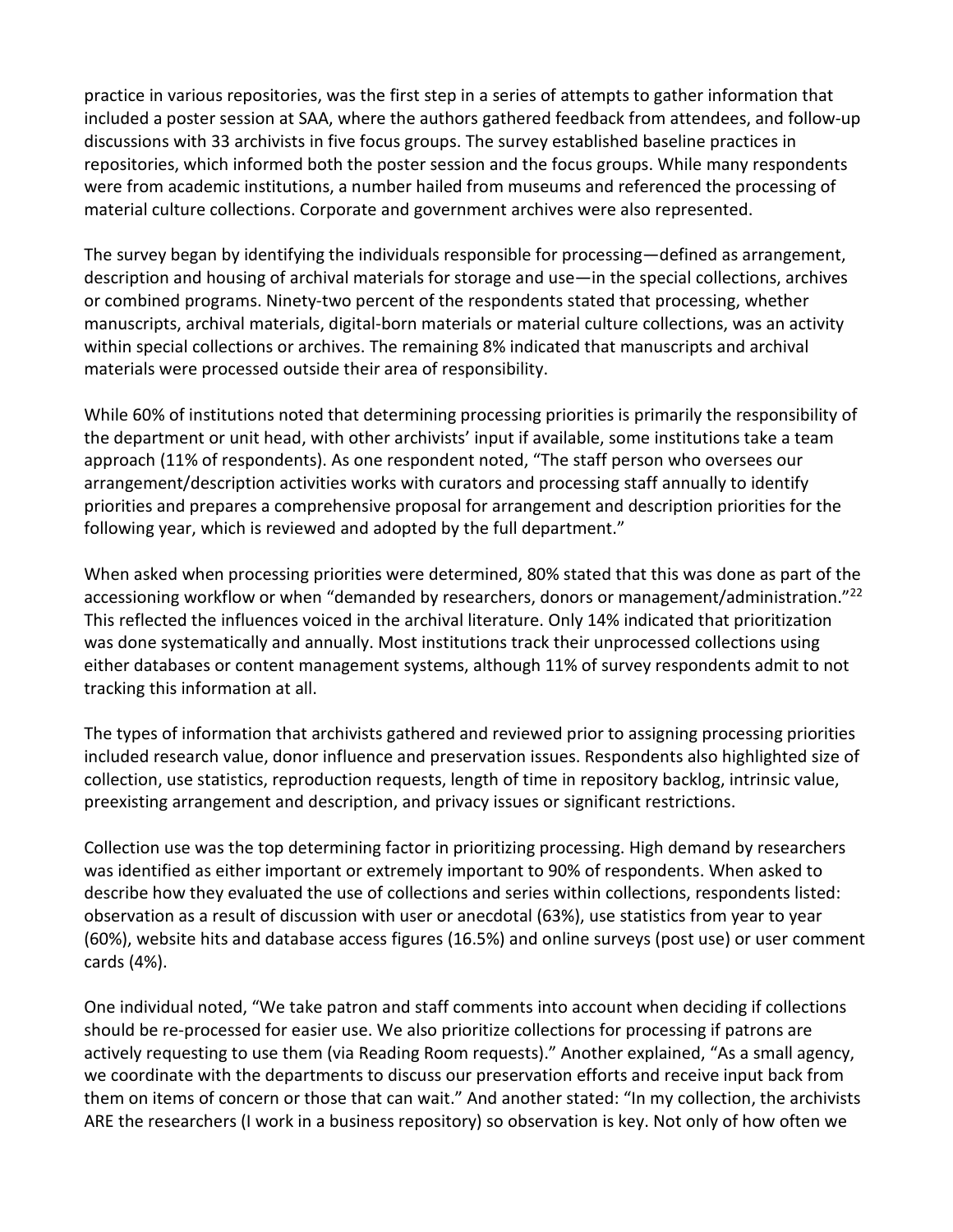practice in various repositories, was the first step in a series of attempts to gather information that included a poster session at SAA, where the authors gathered feedback from attendees, and follow-up discussions with 33 archivists in five focus groups. The survey established baseline practices in repositories, which informed both the poster session and the focus groups. While many respondents were from academic institutions, a number hailed from museums and referenced the processing of material culture collections. Corporate and government archives were also represented.

The survey began by identifying the individuals responsible for processing—defined as arrangement, description and housing of archival materials for storage and use—in the special collections, archives or combined programs. Ninety-two percent of the respondents stated that processing, whether manuscripts, archival materials, digital-born materials or material culture collections, was an activity within special collections or archives. The remaining 8% indicated that manuscripts and archival materials were processed outside their area of responsibility.

While 60% of institutions noted that determining processing priorities is primarily the responsibility of the department or unit head, with other archivists' input if available, some institutions take a team approach (11% of respondents). As one respondent noted, "The staff person who oversees our arrangement/description activities works with curators and processing staff annually to identify priorities and prepares a comprehensive proposal for arrangement and description priorities for the following year, which is reviewed and adopted by the full department."

When asked when processing priorities were determined, 80% stated that this was done as part of the accessioning workflow or when "demanded by researchers, donors or management/administration."<sup>22</sup> This reflected the influences voiced in the archival literature. Only 14% indicated that prioritization was done systematically and annually. Most institutions track their unprocessed collections using either databases or content management systems, although 11% of survey respondents admit to not tracking this information at all.

The types of information that archivists gathered and reviewed prior to assigning processing priorities included research value, donor influence and preservation issues. Respondents also highlighted size of collection, use statistics, reproduction requests, length of time in repository backlog, intrinsic value, preexisting arrangement and description, and privacy issues or significant restrictions.

Collection use was the top determining factor in prioritizing processing. High demand by researchers was identified as either important or extremely important to 90% of respondents. When asked to describe how they evaluated the use of collections and series within collections, respondents listed: observation as a result of discussion with user or anecdotal (63%), use statistics from year to year (60%), website hits and database access figures (16.5%) and online surveys (post use) or user comment cards (4%).

One individual noted, "We take patron and staff comments into account when deciding if collections should be re-processed for easier use. We also prioritize collections for processing if patrons are actively requesting to use them (via Reading Room requests)." Another explained, "As a small agency, we coordinate with the departments to discuss our preservation efforts and receive input back from them on items of concern or those that can wait." And another stated: "In my collection, the archivists ARE the researchers (I work in a business repository) so observation is key. Not only of how often we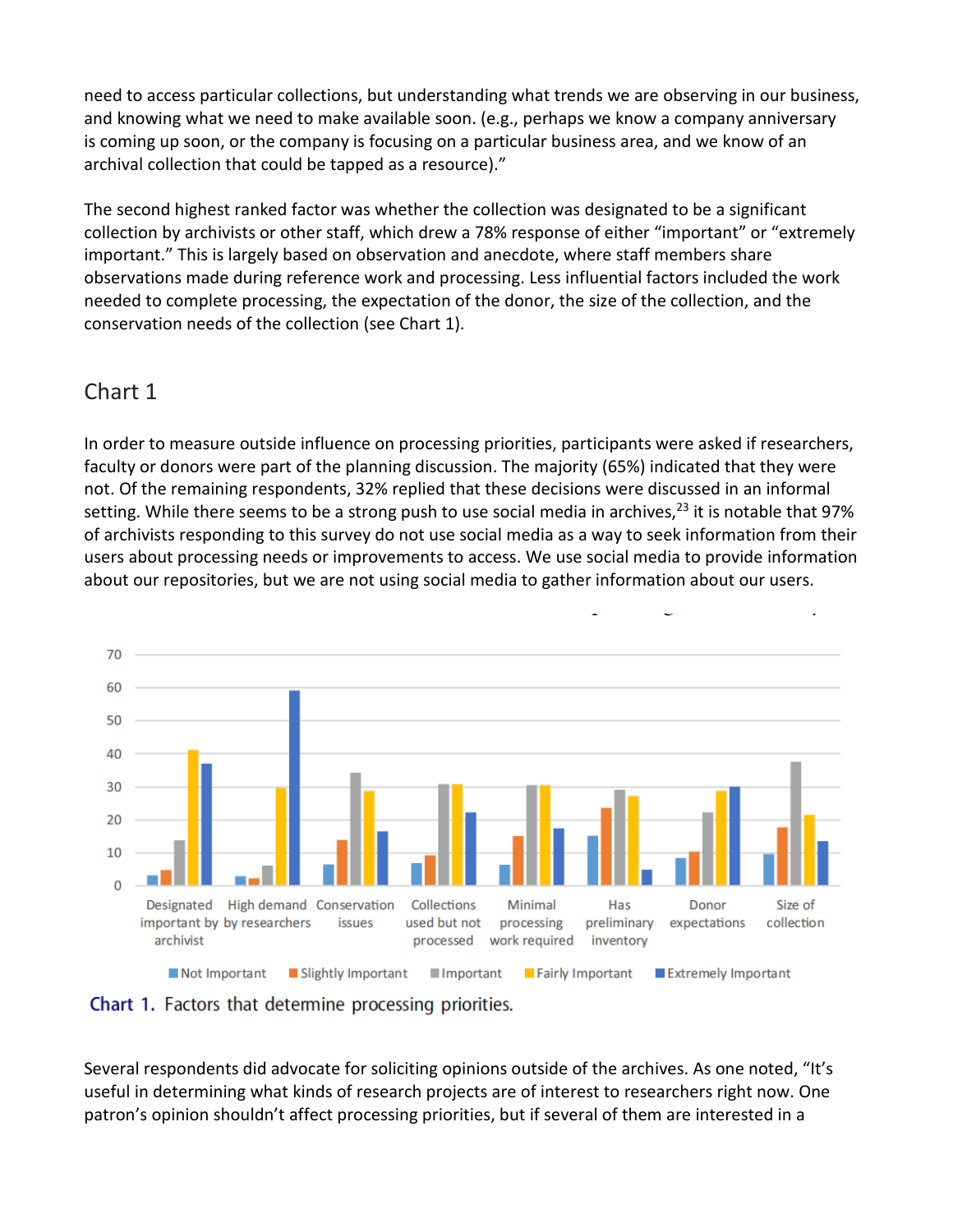need to access particular collections, but understanding what trends we are observing in our business, and knowing what we need to make available soon. (e.g., perhaps we know a company anniversary is coming up soon, or the company is focusing on a particular business area, and we know of an archival collection that could be tapped as a resource)."

The second highest ranked factor was whether the collection was designated to be a significant collection by archivists or other staff, which drew a 78% response of either "important" or "extremely important." This is largely based on observation and anecdote, where staff members share observations made during reference work and processing. Less influential factors included the work needed to complete processing, the expectation of the donor, the size of the collection, and the conservation needs of the collection (see Chart 1).

## Chart 1

In order to measure outside influence on processing priorities, participants were asked if researchers, faculty or donors were part of the planning discussion. The majority (65%) indicated that they were not. Of the remaining respondents, 32% replied that these decisions were discussed in an informal setting. While there seems to be a strong push to use social media in archives,  $23$  it is notable that 97% of archivists responding to this survey do not use social media as a way to seek information from their users about processing needs or improvements to access. We use social media to provide information about our repositories, but we are not using social media to gather information about our users.



**Chart 1.** Factors that determine processing priorities.

Several respondents did advocate for soliciting opinions outside of the archives. As one noted, "It's useful in determining what kinds of research projects are of interest to researchers right now. One patron's opinion shouldn't affect processing priorities, but if several of them are interested in a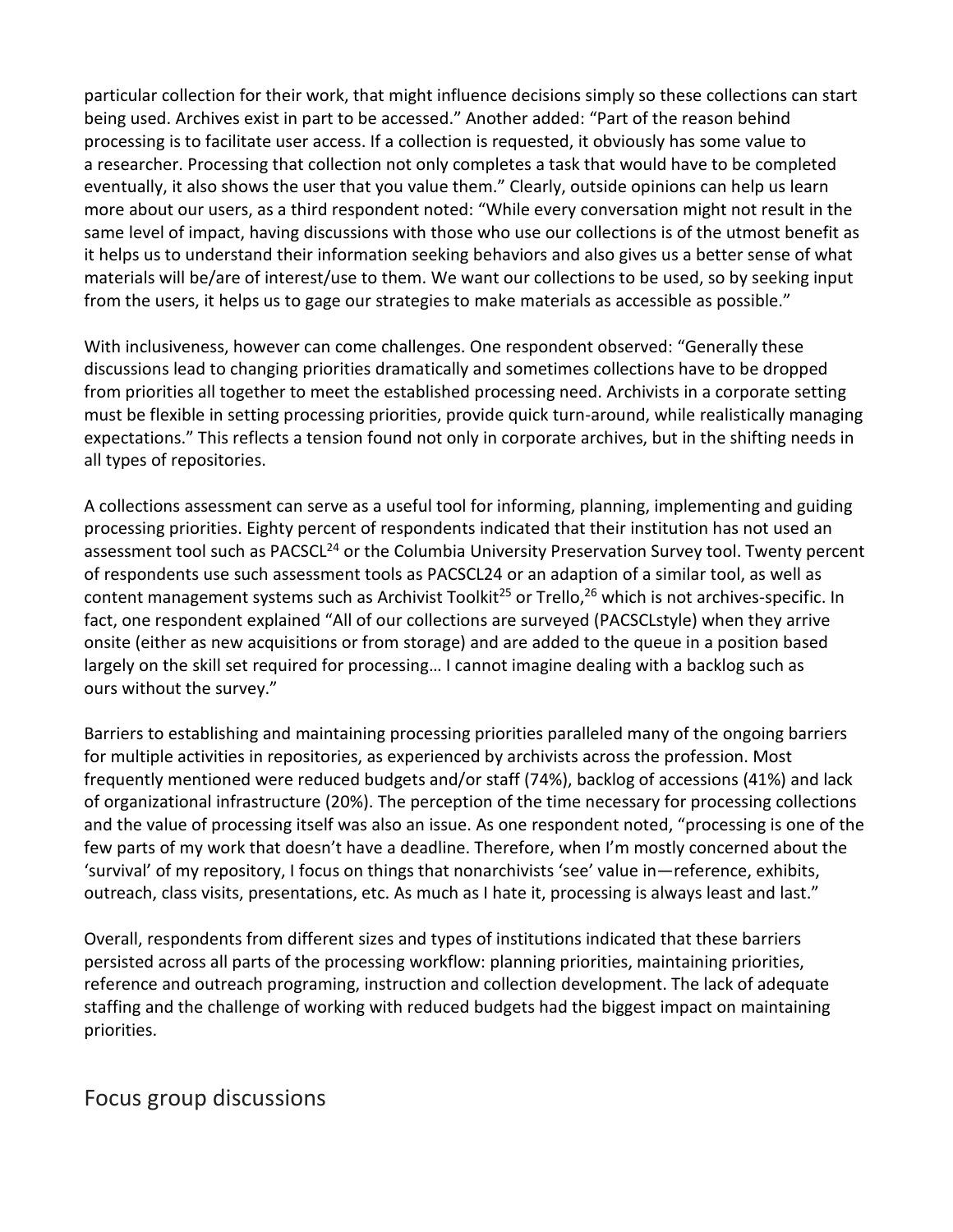particular collection for their work, that might influence decisions simply so these collections can start being used. Archives exist in part to be accessed." Another added: "Part of the reason behind processing is to facilitate user access. If a collection is requested, it obviously has some value to a researcher. Processing that collection not only completes a task that would have to be completed eventually, it also shows the user that you value them." Clearly, outside opinions can help us learn more about our users, as a third respondent noted: "While every conversation might not result in the same level of impact, having discussions with those who use our collections is of the utmost benefit as it helps us to understand their information seeking behaviors and also gives us a better sense of what materials will be/are of interest/use to them. We want our collections to be used, so by seeking input from the users, it helps us to gage our strategies to make materials as accessible as possible."

With inclusiveness, however can come challenges. One respondent observed: "Generally these discussions lead to changing priorities dramatically and sometimes collections have to be dropped from priorities all together to meet the established processing need. Archivists in a corporate setting must be flexible in setting processing priorities, provide quick turn-around, while realistically managing expectations." This reflects a tension found not only in corporate archives, but in the shifting needs in all types of repositories.

A collections assessment can serve as a useful tool for informing, planning, implementing and guiding processing priorities. Eighty percent of respondents indicated that their institution has not used an assessment tool such as PACSCL<sup>24</sup> or the Columbia University Preservation Survey tool. Twenty percent of respondents use such assessment tools as PACSCL24 or an adaption of a similar tool, as well as content management systems such as Archivist Toolkit<sup>25</sup> or Trello,<sup>26</sup> which is not archives-specific. In fact, one respondent explained "All of our collections are surveyed (PACSCLstyle) when they arrive onsite (either as new acquisitions or from storage) and are added to the queue in a position based largely on the skill set required for processing… I cannot imagine dealing with a backlog such as ours without the survey."

Barriers to establishing and maintaining processing priorities paralleled many of the ongoing barriers for multiple activities in repositories, as experienced by archivists across the profession. Most frequently mentioned were reduced budgets and/or staff (74%), backlog of accessions (41%) and lack of organizational infrastructure (20%). The perception of the time necessary for processing collections and the value of processing itself was also an issue. As one respondent noted, "processing is one of the few parts of my work that doesn't have a deadline. Therefore, when I'm mostly concerned about the 'survival' of my repository, I focus on things that nonarchivists 'see' value in—reference, exhibits, outreach, class visits, presentations, etc. As much as I hate it, processing is always least and last."

Overall, respondents from different sizes and types of institutions indicated that these barriers persisted across all parts of the processing workflow: planning priorities, maintaining priorities, reference and outreach programing, instruction and collection development. The lack of adequate staffing and the challenge of working with reduced budgets had the biggest impact on maintaining priorities.

## Focus group discussions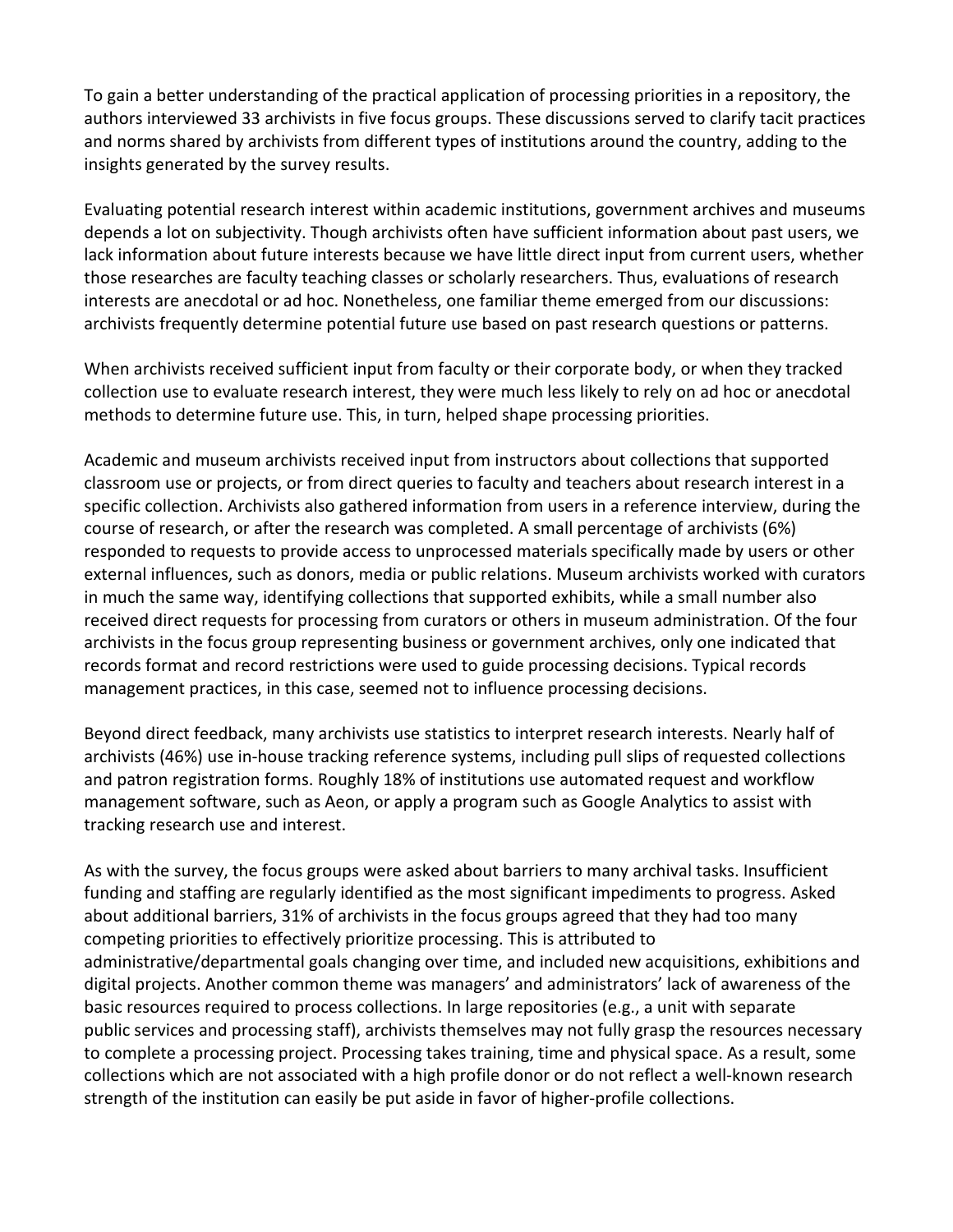To gain a better understanding of the practical application of processing priorities in a repository, the authors interviewed 33 archivists in five focus groups. These discussions served to clarify tacit practices and norms shared by archivists from different types of institutions around the country, adding to the insights generated by the survey results.

Evaluating potential research interest within academic institutions, government archives and museums depends a lot on subjectivity. Though archivists often have sufficient information about past users, we lack information about future interests because we have little direct input from current users, whether those researches are faculty teaching classes or scholarly researchers. Thus, evaluations of research interests are anecdotal or ad hoc. Nonetheless, one familiar theme emerged from our discussions: archivists frequently determine potential future use based on past research questions or patterns.

When archivists received sufficient input from faculty or their corporate body, or when they tracked collection use to evaluate research interest, they were much less likely to rely on ad hoc or anecdotal methods to determine future use. This, in turn, helped shape processing priorities.

Academic and museum archivists received input from instructors about collections that supported classroom use or projects, or from direct queries to faculty and teachers about research interest in a specific collection. Archivists also gathered information from users in a reference interview, during the course of research, or after the research was completed. A small percentage of archivists (6%) responded to requests to provide access to unprocessed materials specifically made by users or other external influences, such as donors, media or public relations. Museum archivists worked with curators in much the same way, identifying collections that supported exhibits, while a small number also received direct requests for processing from curators or others in museum administration. Of the four archivists in the focus group representing business or government archives, only one indicated that records format and record restrictions were used to guide processing decisions. Typical records management practices, in this case, seemed not to influence processing decisions.

Beyond direct feedback, many archivists use statistics to interpret research interests. Nearly half of archivists (46%) use in-house tracking reference systems, including pull slips of requested collections and patron registration forms. Roughly 18% of institutions use automated request and workflow management software, such as Aeon, or apply a program such as Google Analytics to assist with tracking research use and interest.

As with the survey, the focus groups were asked about barriers to many archival tasks. Insufficient funding and staffing are regularly identified as the most significant impediments to progress. Asked about additional barriers, 31% of archivists in the focus groups agreed that they had too many competing priorities to effectively prioritize processing. This is attributed to administrative/departmental goals changing over time, and included new acquisitions, exhibitions and digital projects. Another common theme was managers' and administrators' lack of awareness of the basic resources required to process collections. In large repositories (e.g., a unit with separate public services and processing staff), archivists themselves may not fully grasp the resources necessary to complete a processing project. Processing takes training, time and physical space. As a result, some collections which are not associated with a high profile donor or do not reflect a well-known research strength of the institution can easily be put aside in favor of higher-profile collections.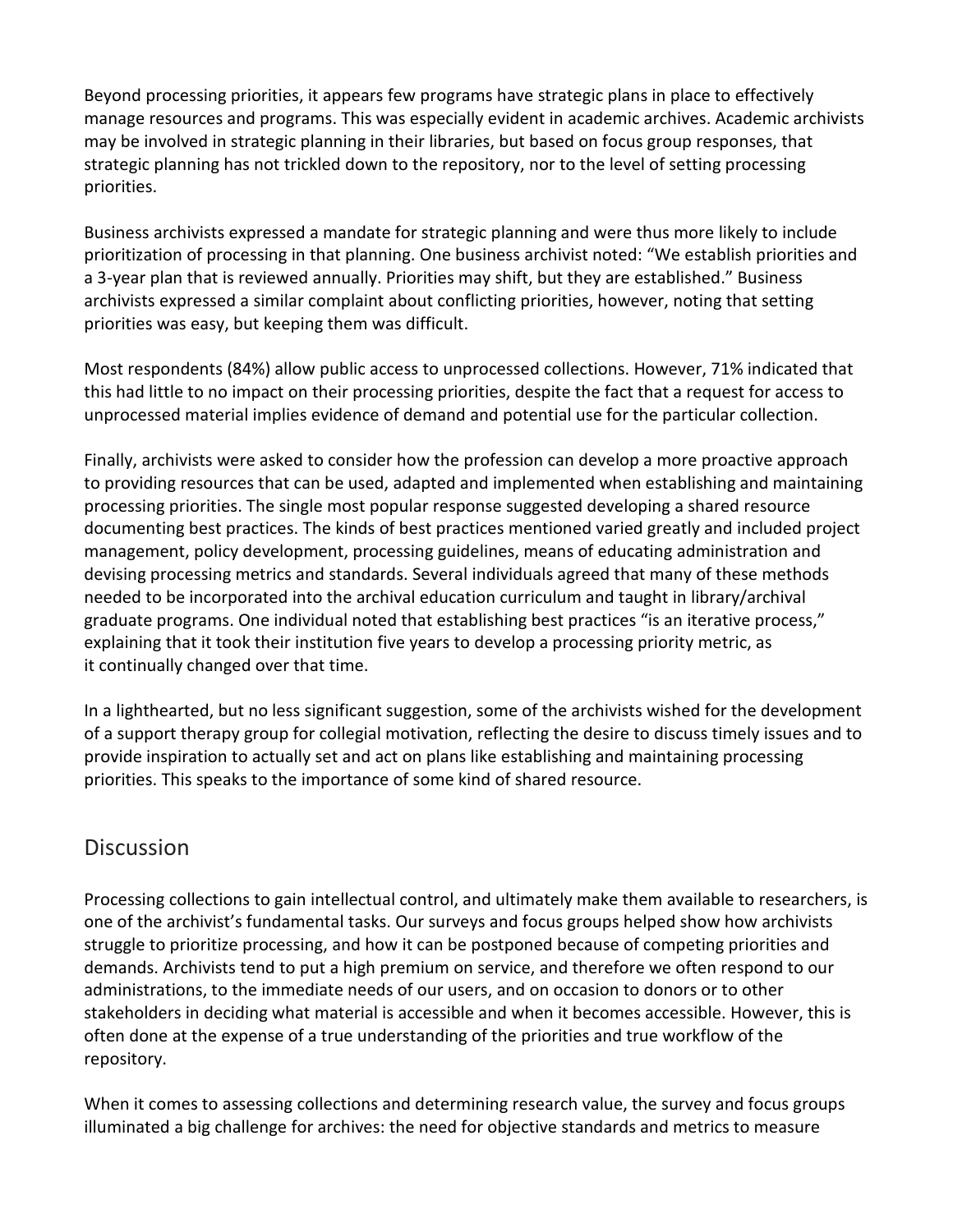Beyond processing priorities, it appears few programs have strategic plans in place to effectively manage resources and programs. This was especially evident in academic archives. Academic archivists may be involved in strategic planning in their libraries, but based on focus group responses, that strategic planning has not trickled down to the repository, nor to the level of setting processing priorities.

Business archivists expressed a mandate for strategic planning and were thus more likely to include prioritization of processing in that planning. One business archivist noted: "We establish priorities and a 3-year plan that is reviewed annually. Priorities may shift, but they are established." Business archivists expressed a similar complaint about conflicting priorities, however, noting that setting priorities was easy, but keeping them was difficult.

Most respondents (84%) allow public access to unprocessed collections. However, 71% indicated that this had little to no impact on their processing priorities, despite the fact that a request for access to unprocessed material implies evidence of demand and potential use for the particular collection.

Finally, archivists were asked to consider how the profession can develop a more proactive approach to providing resources that can be used, adapted and implemented when establishing and maintaining processing priorities. The single most popular response suggested developing a shared resource documenting best practices. The kinds of best practices mentioned varied greatly and included project management, policy development, processing guidelines, means of educating administration and devising processing metrics and standards. Several individuals agreed that many of these methods needed to be incorporated into the archival education curriculum and taught in library/archival graduate programs. One individual noted that establishing best practices "is an iterative process," explaining that it took their institution five years to develop a processing priority metric, as it continually changed over that time.

In a lighthearted, but no less significant suggestion, some of the archivists wished for the development of a support therapy group for collegial motivation, reflecting the desire to discuss timely issues and to provide inspiration to actually set and act on plans like establishing and maintaining processing priorities. This speaks to the importance of some kind of shared resource.

## **Discussion**

Processing collections to gain intellectual control, and ultimately make them available to researchers, is one of the archivist's fundamental tasks. Our surveys and focus groups helped show how archivists struggle to prioritize processing, and how it can be postponed because of competing priorities and demands. Archivists tend to put a high premium on service, and therefore we often respond to our administrations, to the immediate needs of our users, and on occasion to donors or to other stakeholders in deciding what material is accessible and when it becomes accessible. However, this is often done at the expense of a true understanding of the priorities and true workflow of the repository.

When it comes to assessing collections and determining research value, the survey and focus groups illuminated a big challenge for archives: the need for objective standards and metrics to measure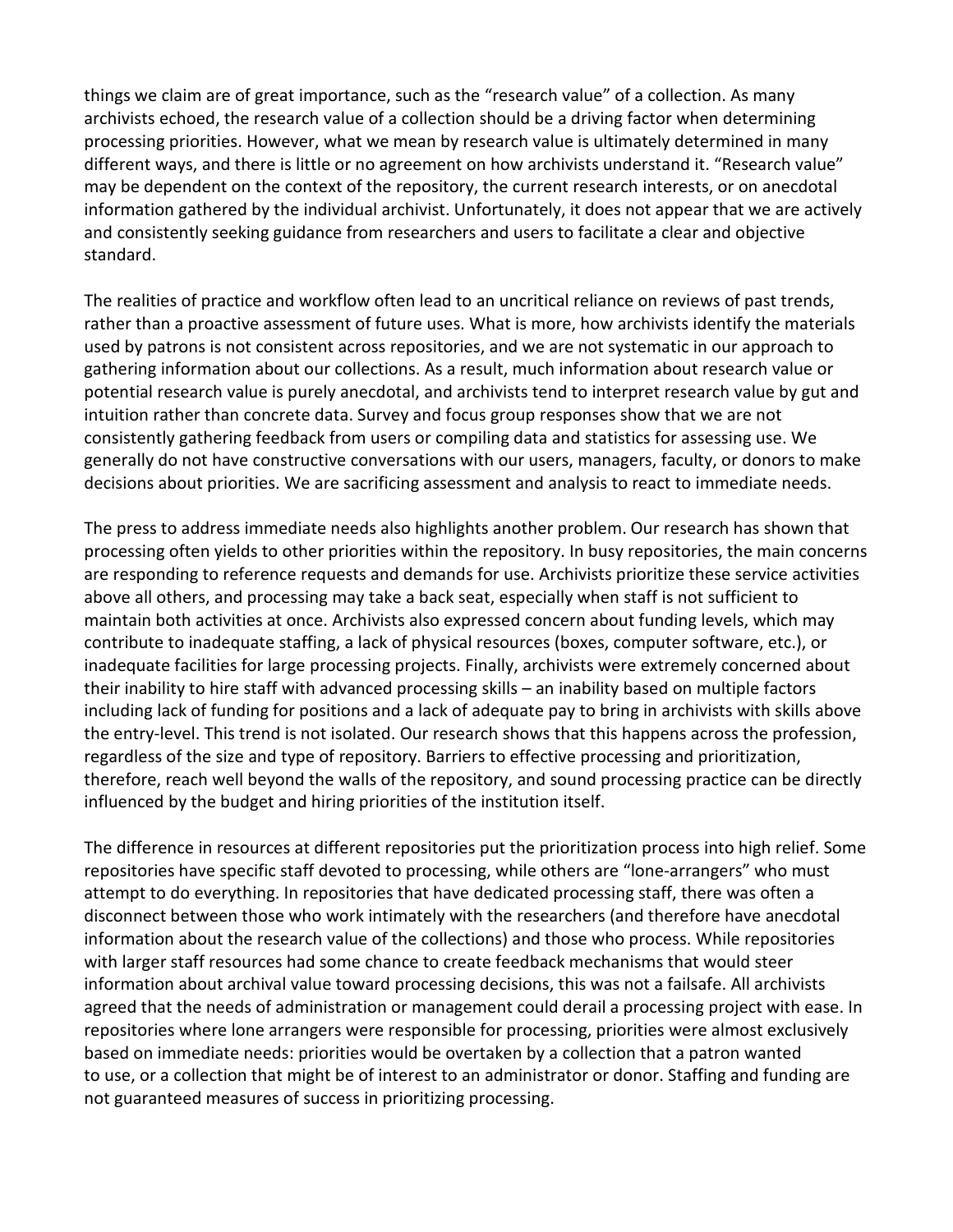things we claim are of great importance, such as the "research value" of a collection. As many archivists echoed, the research value of a collection should be a driving factor when determining processing priorities. However, what we mean by research value is ultimately determined in many different ways, and there is little or no agreement on how archivists understand it. "Research value" may be dependent on the context of the repository, the current research interests, or on anecdotal information gathered by the individual archivist. Unfortunately, it does not appear that we are actively and consistently seeking guidance from researchers and users to facilitate a clear and objective standard.

The realities of practice and workflow often lead to an uncritical reliance on reviews of past trends, rather than a proactive assessment of future uses. What is more, how archivists identify the materials used by patrons is not consistent across repositories, and we are not systematic in our approach to gathering information about our collections. As a result, much information about research value or potential research value is purely anecdotal, and archivists tend to interpret research value by gut and intuition rather than concrete data. Survey and focus group responses show that we are not consistently gathering feedback from users or compiling data and statistics for assessing use. We generally do not have constructive conversations with our users, managers, faculty, or donors to make decisions about priorities. We are sacrificing assessment and analysis to react to immediate needs.

The press to address immediate needs also highlights another problem. Our research has shown that processing often yields to other priorities within the repository. In busy repositories, the main concerns are responding to reference requests and demands for use. Archivists prioritize these service activities above all others, and processing may take a back seat, especially when staff is not sufficient to maintain both activities at once. Archivists also expressed concern about funding levels, which may contribute to inadequate staffing, a lack of physical resources (boxes, computer software, etc.), or inadequate facilities for large processing projects. Finally, archivists were extremely concerned about their inability to hire staff with advanced processing skills – an inability based on multiple factors including lack of funding for positions and a lack of adequate pay to bring in archivists with skills above the entry-level. This trend is not isolated. Our research shows that this happens across the profession, regardless of the size and type of repository. Barriers to effective processing and prioritization, therefore, reach well beyond the walls of the repository, and sound processing practice can be directly influenced by the budget and hiring priorities of the institution itself.

The difference in resources at different repositories put the prioritization process into high relief. Some repositories have specific staff devoted to processing, while others are "lone-arrangers" who must attempt to do everything. In repositories that have dedicated processing staff, there was often a disconnect between those who work intimately with the researchers (and therefore have anecdotal information about the research value of the collections) and those who process. While repositories with larger staff resources had some chance to create feedback mechanisms that would steer information about archival value toward processing decisions, this was not a failsafe. All archivists agreed that the needs of administration or management could derail a processing project with ease. In repositories where lone arrangers were responsible for processing, priorities were almost exclusively based on immediate needs: priorities would be overtaken by a collection that a patron wanted to use, or a collection that might be of interest to an administrator or donor. Staffing and funding are not guaranteed measures of success in prioritizing processing.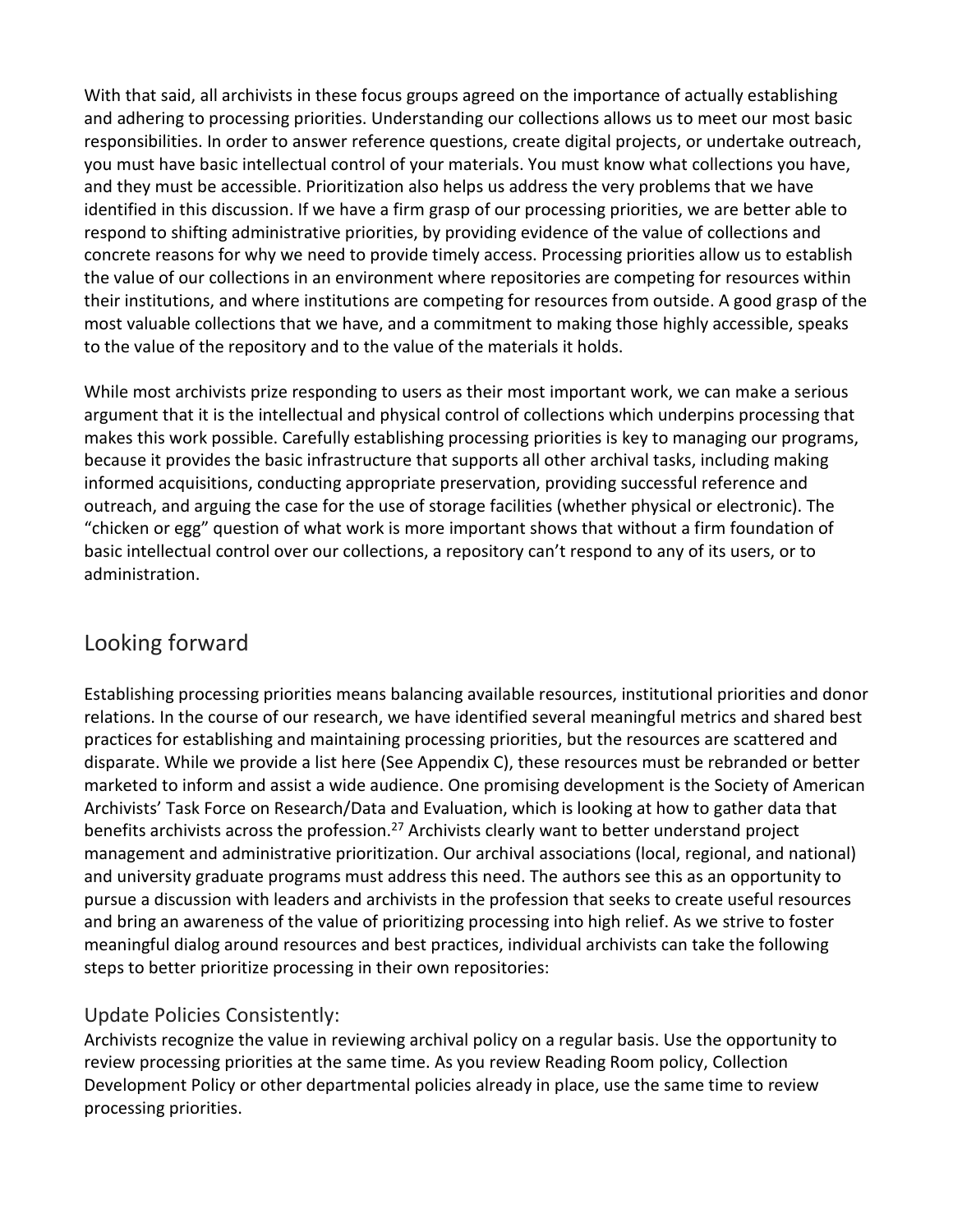With that said, all archivists in these focus groups agreed on the importance of actually establishing and adhering to processing priorities. Understanding our collections allows us to meet our most basic responsibilities. In order to answer reference questions, create digital projects, or undertake outreach, you must have basic intellectual control of your materials. You must know what collections you have, and they must be accessible. Prioritization also helps us address the very problems that we have identified in this discussion. If we have a firm grasp of our processing priorities, we are better able to respond to shifting administrative priorities, by providing evidence of the value of collections and concrete reasons for why we need to provide timely access. Processing priorities allow us to establish the value of our collections in an environment where repositories are competing for resources within their institutions, and where institutions are competing for resources from outside. A good grasp of the most valuable collections that we have, and a commitment to making those highly accessible, speaks to the value of the repository and to the value of the materials it holds.

While most archivists prize responding to users as their most important work, we can make a serious argument that it is the intellectual and physical control of collections which underpins processing that makes this work possible. Carefully establishing processing priorities is key to managing our programs, because it provides the basic infrastructure that supports all other archival tasks, including making informed acquisitions, conducting appropriate preservation, providing successful reference and outreach, and arguing the case for the use of storage facilities (whether physical or electronic). The "chicken or egg" question of what work is more important shows that without a firm foundation of basic intellectual control over our collections, a repository can't respond to any of its users, or to administration.

## Looking forward

Establishing processing priorities means balancing available resources, institutional priorities and donor relations. In the course of our research, we have identified several meaningful metrics and shared best practices for establishing and maintaining processing priorities, but the resources are scattered and disparate. While we provide a list here (See Appendix C), these resources must be rebranded or better marketed to inform and assist a wide audience. One promising development is the Society of American Archivists' Task Force on Research/Data and Evaluation, which is looking at how to gather data that benefits archivists across the profession.<sup>27</sup> Archivists clearly want to better understand project management and administrative prioritization. Our archival associations (local, regional, and national) and university graduate programs must address this need. The authors see this as an opportunity to pursue a discussion with leaders and archivists in the profession that seeks to create useful resources and bring an awareness of the value of prioritizing processing into high relief. As we strive to foster meaningful dialog around resources and best practices, individual archivists can take the following steps to better prioritize processing in their own repositories:

## Update Policies Consistently:

Archivists recognize the value in reviewing archival policy on a regular basis. Use the opportunity to review processing priorities at the same time. As you review Reading Room policy, Collection Development Policy or other departmental policies already in place, use the same time to review processing priorities.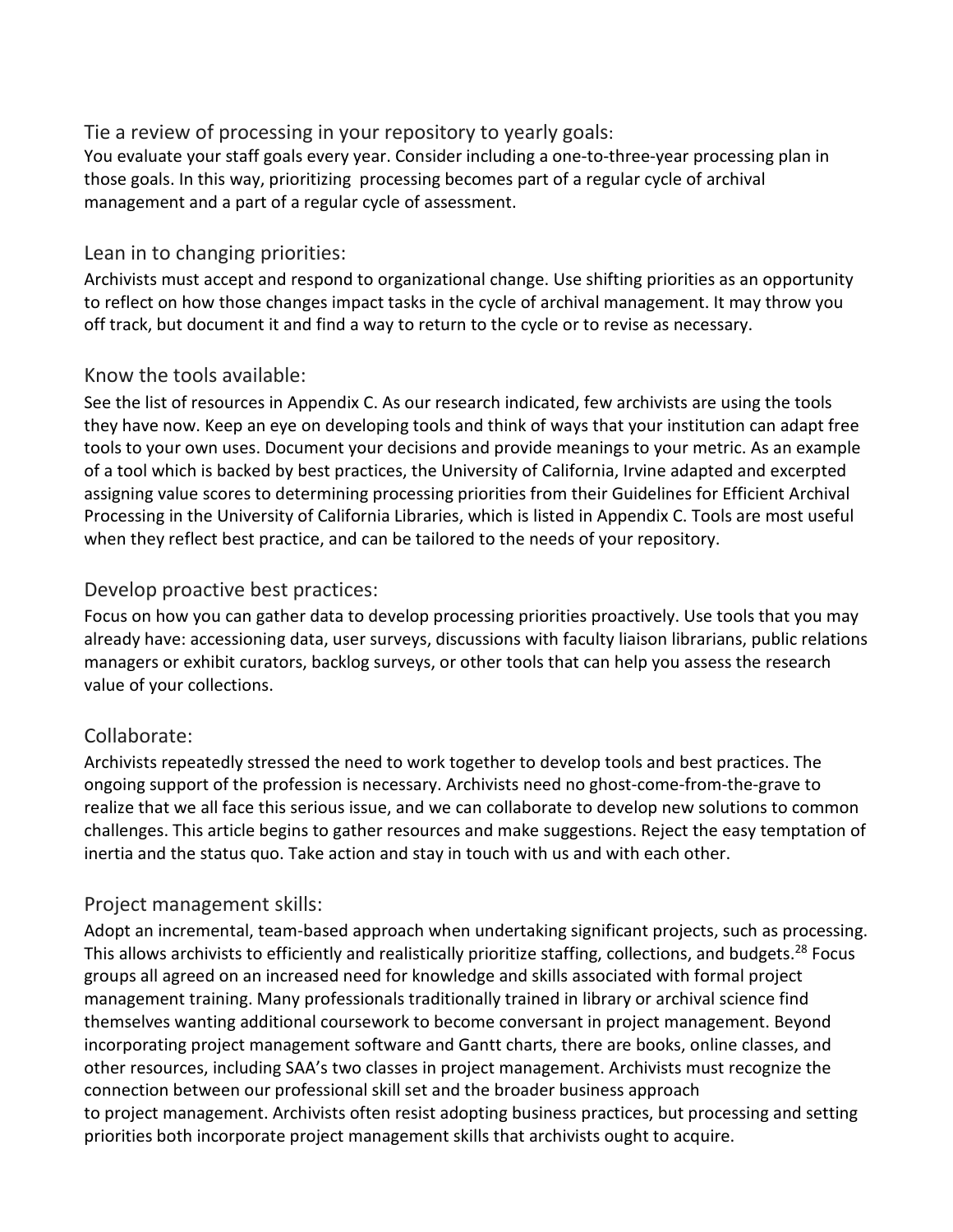#### Tie a review of processing in your repository to yearly goals:

You evaluate your staff goals every year. Consider including a one-to-three-year processing plan in those goals. In this way, prioritizing processing becomes part of a regular cycle of archival management and a part of a regular cycle of assessment.

#### Lean in to changing priorities:

Archivists must accept and respond to organizational change. Use shifting priorities as an opportunity to reflect on how those changes impact tasks in the cycle of archival management. It may throw you off track, but document it and find a way to return to the cycle or to revise as necessary.

#### Know the tools available:

See the list of resources in Appendix C. As our research indicated, few archivists are using the tools they have now. Keep an eye on developing tools and think of ways that your institution can adapt free tools to your own uses. Document your decisions and provide meanings to your metric. As an example of a tool which is backed by best practices, the University of California, Irvine adapted and excerpted assigning value scores to determining processing priorities from their Guidelines for Efficient Archival Processing in the University of California Libraries, which is listed in Appendix C. Tools are most useful when they reflect best practice, and can be tailored to the needs of your repository.

#### Develop proactive best practices:

Focus on how you can gather data to develop processing priorities proactively. Use tools that you may already have: accessioning data, user surveys, discussions with faculty liaison librarians, public relations managers or exhibit curators, backlog surveys, or other tools that can help you assess the research value of your collections.

## Collaborate:

Archivists repeatedly stressed the need to work together to develop tools and best practices. The ongoing support of the profession is necessary. Archivists need no ghost-come-from-the-grave to realize that we all face this serious issue, and we can collaborate to develop new solutions to common challenges. This article begins to gather resources and make suggestions. Reject the easy temptation of inertia and the status quo. Take action and stay in touch with us and with each other.

#### Project management skills:

Adopt an incremental, team-based approach when undertaking significant projects, such as processing. This allows archivists to efficiently and realistically prioritize staffing, collections, and budgets.<sup>28</sup> Focus groups all agreed on an increased need for knowledge and skills associated with formal project management training. Many professionals traditionally trained in library or archival science find themselves wanting additional coursework to become conversant in project management. Beyond incorporating project management software and Gantt charts, there are books, online classes, and other resources, including SAA's two classes in project management. Archivists must recognize the connection between our professional skill set and the broader business approach to project management. Archivists often resist adopting business practices, but processing and setting priorities both incorporate project management skills that archivists ought to acquire.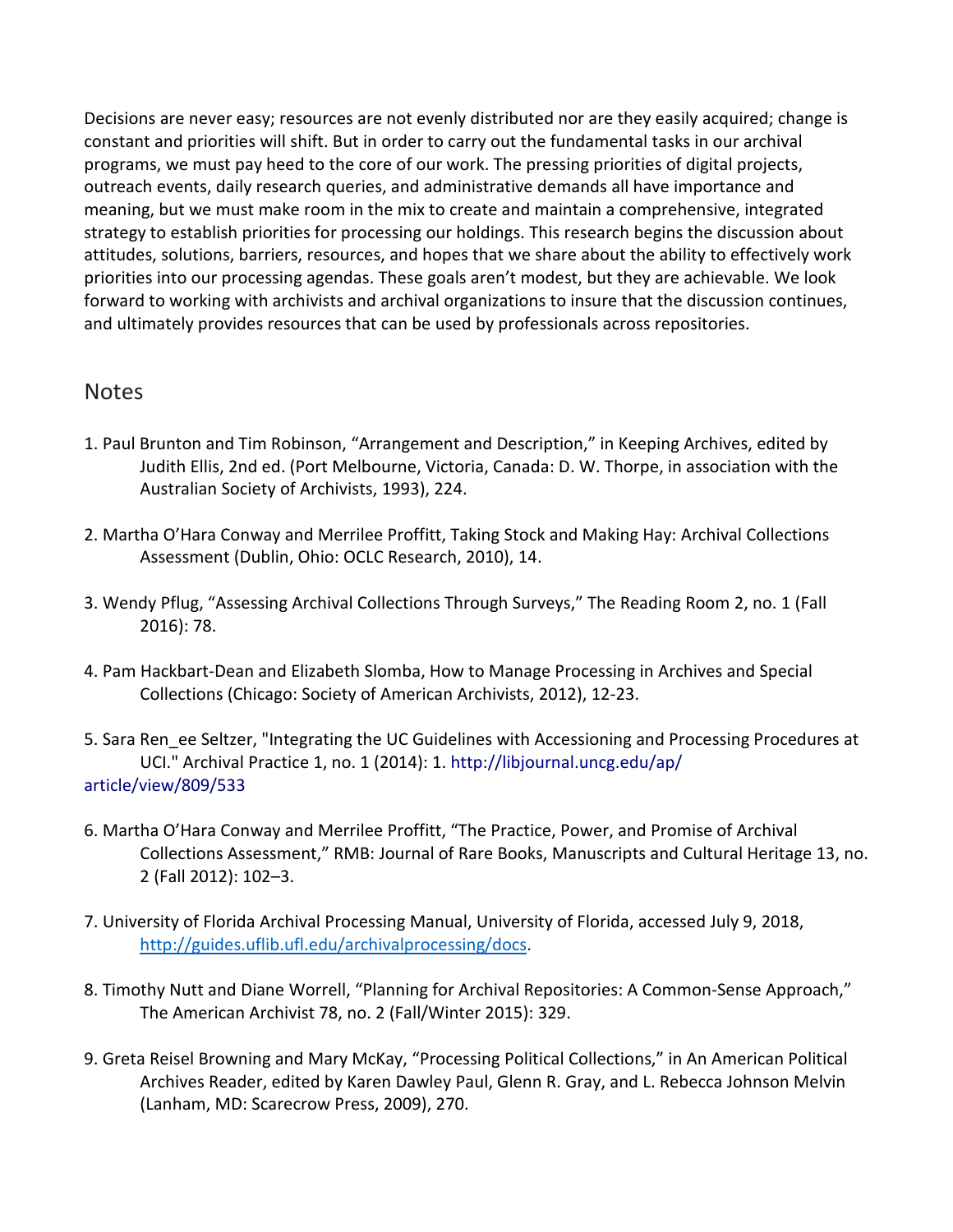Decisions are never easy; resources are not evenly distributed nor are they easily acquired; change is constant and priorities will shift. But in order to carry out the fundamental tasks in our archival programs, we must pay heed to the core of our work. The pressing priorities of digital projects, outreach events, daily research queries, and administrative demands all have importance and meaning, but we must make room in the mix to create and maintain a comprehensive, integrated strategy to establish priorities for processing our holdings. This research begins the discussion about attitudes, solutions, barriers, resources, and hopes that we share about the ability to effectively work priorities into our processing agendas. These goals aren't modest, but they are achievable. We look forward to working with archivists and archival organizations to insure that the discussion continues, and ultimately provides resources that can be used by professionals across repositories.

#### Notes

- 1. Paul Brunton and Tim Robinson, "Arrangement and Description," in Keeping Archives, edited by Judith Ellis, 2nd ed. (Port Melbourne, Victoria, Canada: D. W. Thorpe, in association with the Australian Society of Archivists, 1993), 224.
- 2. Martha O'Hara Conway and Merrilee Proffitt, Taking Stock and Making Hay: Archival Collections Assessment (Dublin, Ohio: OCLC Research, 2010), 14.
- 3. Wendy Pflug, "Assessing Archival Collections Through Surveys," The Reading Room 2, no. 1 (Fall 2016): 78.
- 4. Pam Hackbart-Dean and Elizabeth Slomba, How to Manage Processing in Archives and Special Collections (Chicago: Society of American Archivists, 2012), 12-23.
- 5. Sara Ren\_ee Seltzer, "Integrating the UC Guidelines with Accessioning and Processing Procedures at UCI." Archival Practice 1, no. 1 (2014): 1. http://libjournal.uncg.edu/ap/ article/view/809/533
- 6. Martha O'Hara Conway and Merrilee Proffitt, "The Practice, Power, and Promise of Archival Collections Assessment," RMB: Journal of Rare Books, Manuscripts and Cultural Heritage 13, no. 2 (Fall 2012): 102–3.
- 7. University of Florida Archival Processing Manual, University of Florida, accessed July 9, 2018, [http://guides.uflib.ufl.edu/archivalprocessing/docs.](http://guides.uflib.ufl.edu/archivalprocessing/docs)
- 8. Timothy Nutt and Diane Worrell, "Planning for Archival Repositories: A Common-Sense Approach," The American Archivist 78, no. 2 (Fall/Winter 2015): 329.
- 9. Greta Reisel Browning and Mary McKay, "Processing Political Collections," in An American Political Archives Reader, edited by Karen Dawley Paul, Glenn R. Gray, and L. Rebecca Johnson Melvin (Lanham, MD: Scarecrow Press, 2009), 270.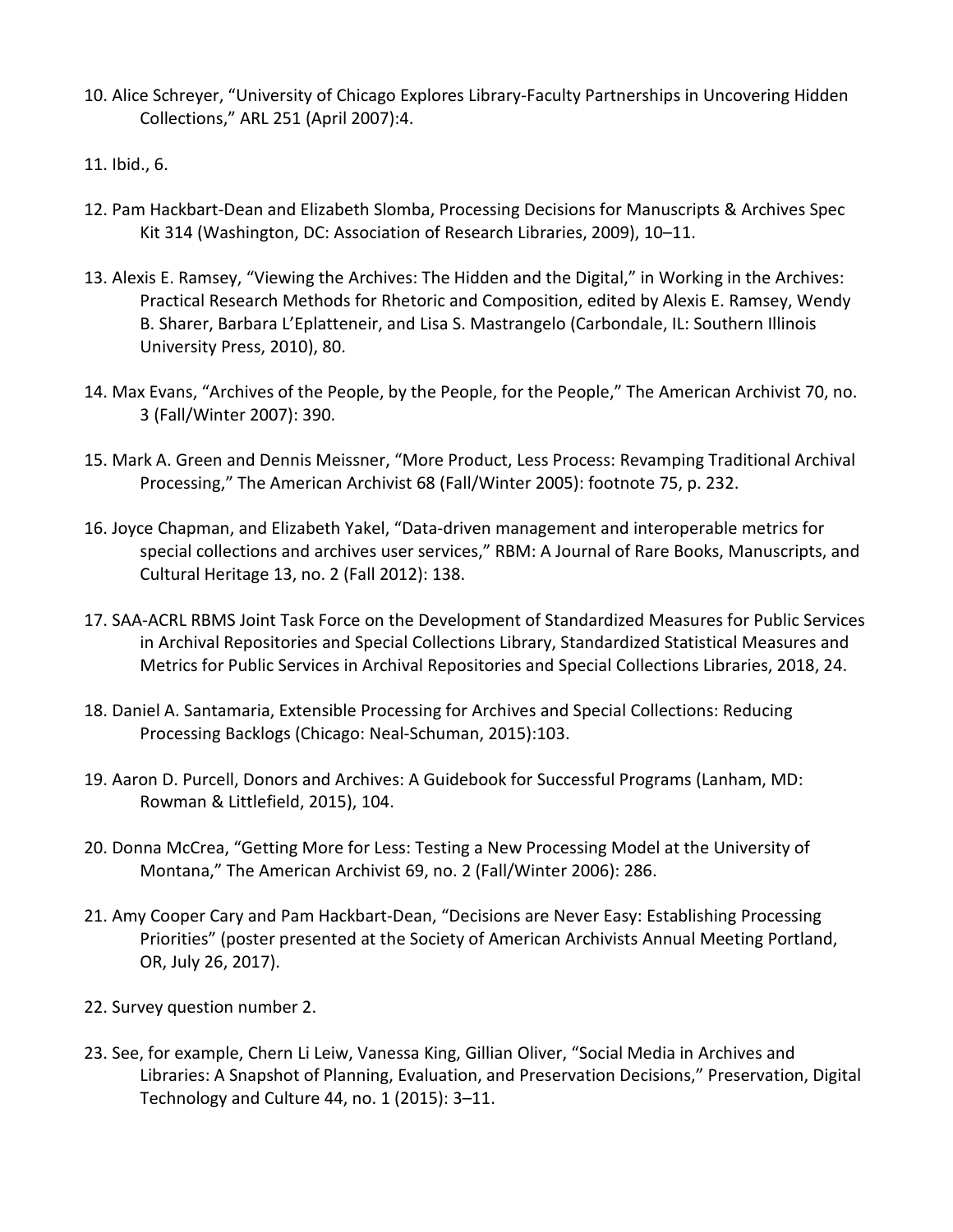- 10. Alice Schreyer, "University of Chicago Explores Library-Faculty Partnerships in Uncovering Hidden Collections," ARL 251 (April 2007):4.
- 11. Ibid., 6.
- 12. Pam Hackbart-Dean and Elizabeth Slomba, Processing Decisions for Manuscripts & Archives Spec Kit 314 (Washington, DC: Association of Research Libraries, 2009), 10–11.
- 13. Alexis E. Ramsey, "Viewing the Archives: The Hidden and the Digital," in Working in the Archives: Practical Research Methods for Rhetoric and Composition, edited by Alexis E. Ramsey, Wendy B. Sharer, Barbara L'Eplatteneir, and Lisa S. Mastrangelo (Carbondale, IL: Southern Illinois University Press, 2010), 80.
- 14. Max Evans, "Archives of the People, by the People, for the People," The American Archivist 70, no. 3 (Fall/Winter 2007): 390.
- 15. Mark A. Green and Dennis Meissner, "More Product, Less Process: Revamping Traditional Archival Processing," The American Archivist 68 (Fall/Winter 2005): footnote 75, p. 232.
- 16. Joyce Chapman, and Elizabeth Yakel, "Data-driven management and interoperable metrics for special collections and archives user services," RBM: A Journal of Rare Books, Manuscripts, and Cultural Heritage 13, no. 2 (Fall 2012): 138.
- 17. SAA-ACRL RBMS Joint Task Force on the Development of Standardized Measures for Public Services in Archival Repositories and Special Collections Library, Standardized Statistical Measures and Metrics for Public Services in Archival Repositories and Special Collections Libraries, 2018, 24.
- 18. Daniel A. Santamaria, Extensible Processing for Archives and Special Collections: Reducing Processing Backlogs (Chicago: Neal-Schuman, 2015):103.
- 19. Aaron D. Purcell, Donors and Archives: A Guidebook for Successful Programs (Lanham, MD: Rowman & Littlefield, 2015), 104.
- 20. Donna McCrea, "Getting More for Less: Testing a New Processing Model at the University of Montana," The American Archivist 69, no. 2 (Fall/Winter 2006): 286.
- 21. Amy Cooper Cary and Pam Hackbart-Dean, "Decisions are Never Easy: Establishing Processing Priorities" (poster presented at the Society of American Archivists Annual Meeting Portland, OR, July 26, 2017).
- 22. Survey question number 2.
- 23. See, for example, Chern Li Leiw, Vanessa King, Gillian Oliver, "Social Media in Archives and Libraries: A Snapshot of Planning, Evaluation, and Preservation Decisions," Preservation, Digital Technology and Culture 44, no. 1 (2015): 3–11.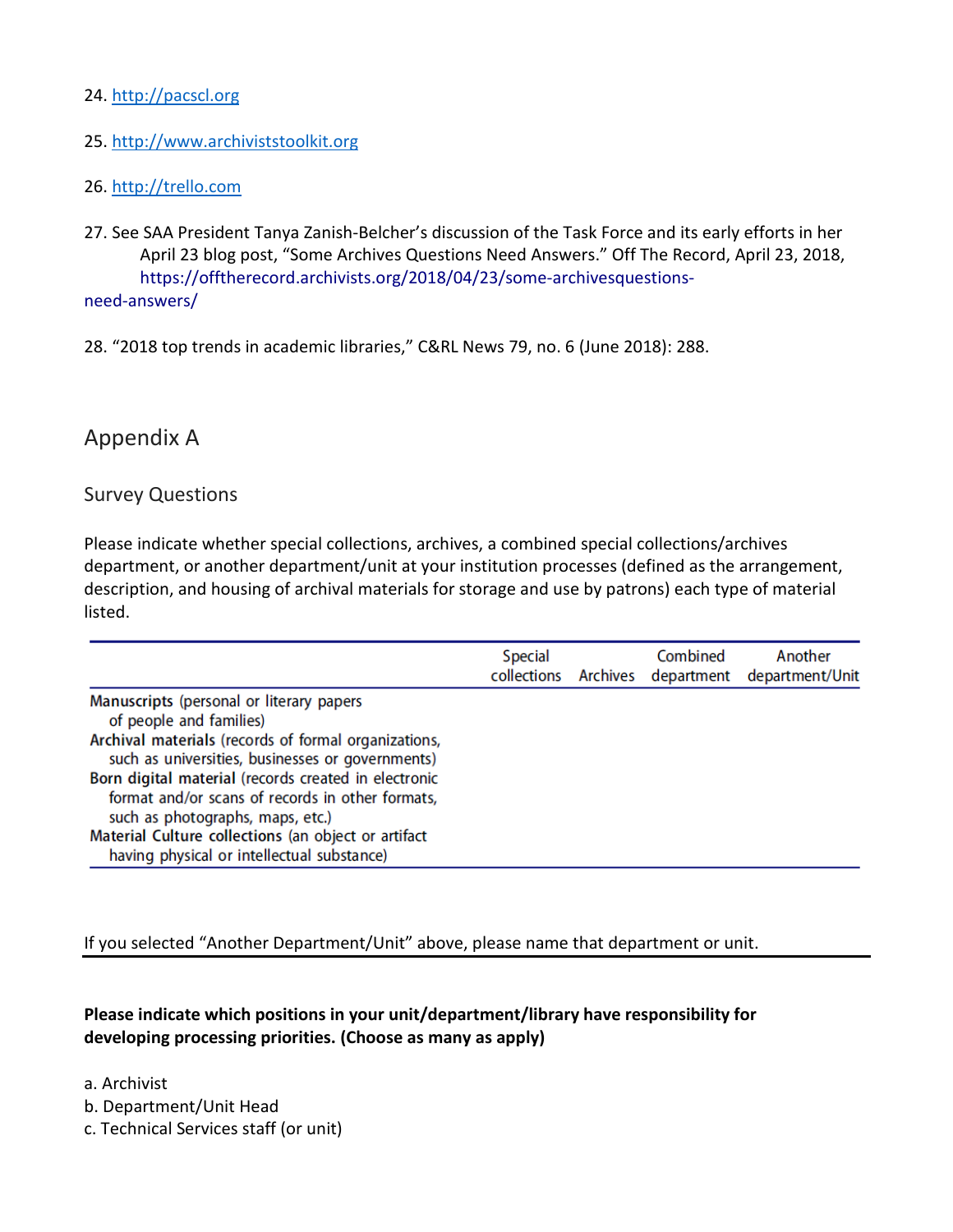#### 24. [http://pacscl.org](http://pacscl.org/)

#### 25. [http://www.archiviststoolkit.org](http://www.archiviststoolkit.org/)

#### 26. [http://trello.com](http://trello.com/)

- 27. See SAA President Tanya Zanish-Belcher's discussion of the Task Force and its early efforts in her April 23 blog post, "Some Archives Questions Need Answers." Off The Record, April 23, 2018, https://offtherecord.archivists.org/2018/04/23/some-archivesquestionsneed-answers/
- 28. "2018 top trends in academic libraries," C&RL News 79, no. 6 (June 2018): 288.

## Appendix A

#### Survey Questions

Please indicate whether special collections, archives, a combined special collections/archives department, or another department/unit at your institution processes (defined as the arrangement, description, and housing of archival materials for storage and use by patrons) each type of material listed.

|                                                                                                                                                                                                                                                                                                                                                                                                                                      | <b>Special</b><br>collections | Combined<br>Archives department | Another<br>department/Unit |
|--------------------------------------------------------------------------------------------------------------------------------------------------------------------------------------------------------------------------------------------------------------------------------------------------------------------------------------------------------------------------------------------------------------------------------------|-------------------------------|---------------------------------|----------------------------|
| Manuscripts (personal or literary papers<br>of people and families)<br>Archival materials (records of formal organizations,<br>such as universities, businesses or governments)<br>Born digital material (records created in electronic<br>format and/or scans of records in other formats,<br>such as photographs, maps, etc.)<br>Material Culture collections (an object or artifact<br>having physical or intellectual substance) |                               |                                 |                            |

If you selected "Another Department/Unit" above, please name that department or unit.

#### **Please indicate which positions in your unit/department/library have responsibility for developing processing priorities. (Choose as many as apply)**

- a. Archivist
- b. Department/Unit Head
- c. Technical Services staff (or unit)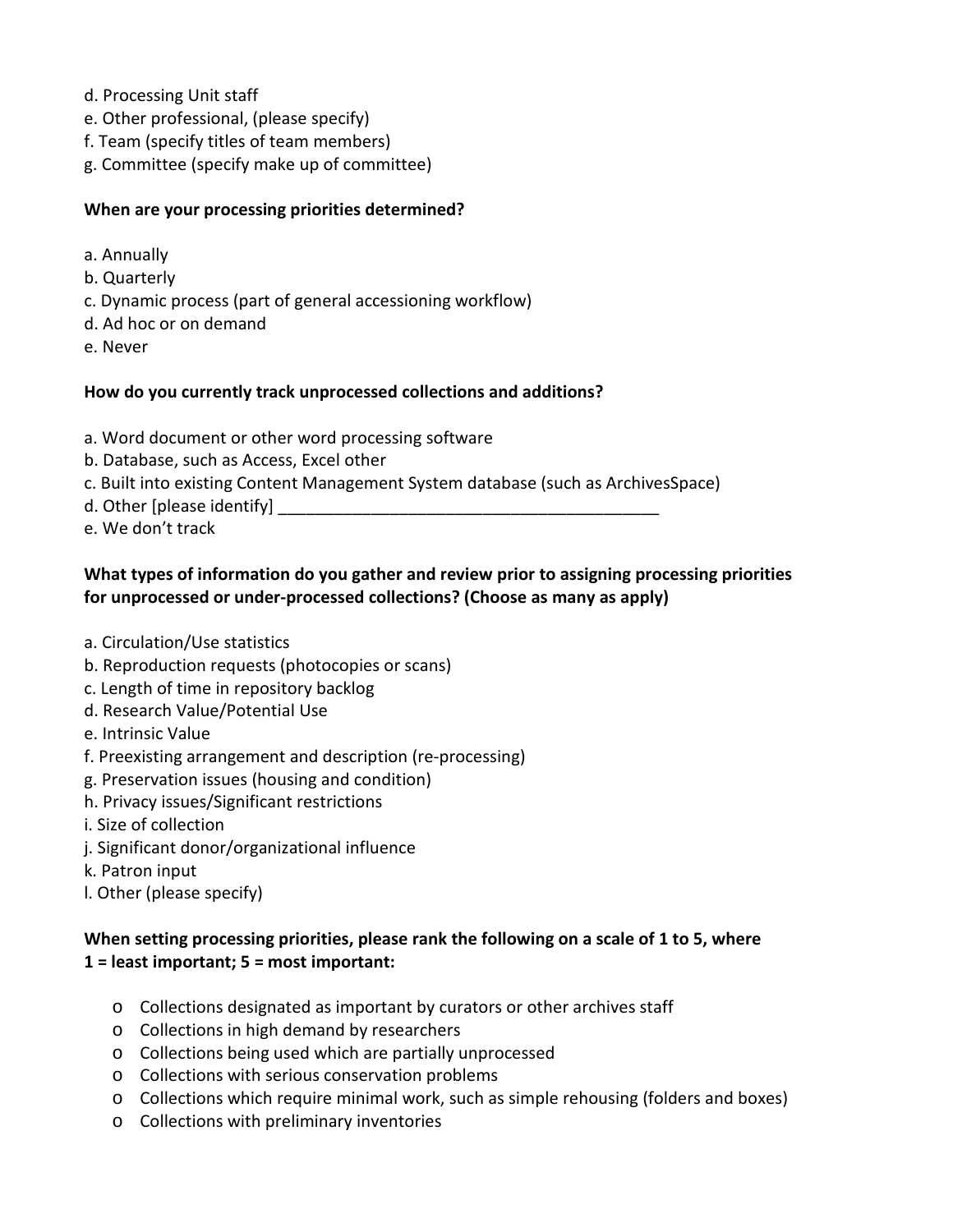- d. Processing Unit staff
- e. Other professional, (please specify)
- f. Team (specify titles of team members)
- g. Committee (specify make up of committee)

#### **When are your processing priorities determined?**

- a. Annually
- b. Quarterly
- c. Dynamic process (part of general accessioning workflow)
- d. Ad hoc or on demand
- e. Never

#### **How do you currently track unprocessed collections and additions?**

- a. Word document or other word processing software
- b. Database, such as Access, Excel other
- c. Built into existing Content Management System database (such as ArchivesSpace)
- d. Other [please identify]
- e. We don't track

#### **What types of information do you gather and review prior to assigning processing priorities for unprocessed or under-processed collections? (Choose as many as apply)**

- a. Circulation/Use statistics
- b. Reproduction requests (photocopies or scans)
- c. Length of time in repository backlog
- d. Research Value/Potential Use
- e. Intrinsic Value
- f. Preexisting arrangement and description (re-processing)
- g. Preservation issues (housing and condition)
- h. Privacy issues/Significant restrictions
- i. Size of collection
- j. Significant donor/organizational influence
- k. Patron input
- l. Other (please specify)

#### **When setting processing priorities, please rank the following on a scale of 1 to 5, where 1 = least important; 5 = most important:**

- o Collections designated as important by curators or other archives staff
- o Collections in high demand by researchers
- o Collections being used which are partially unprocessed
- o Collections with serious conservation problems
- o Collections which require minimal work, such as simple rehousing (folders and boxes)
- o Collections with preliminary inventories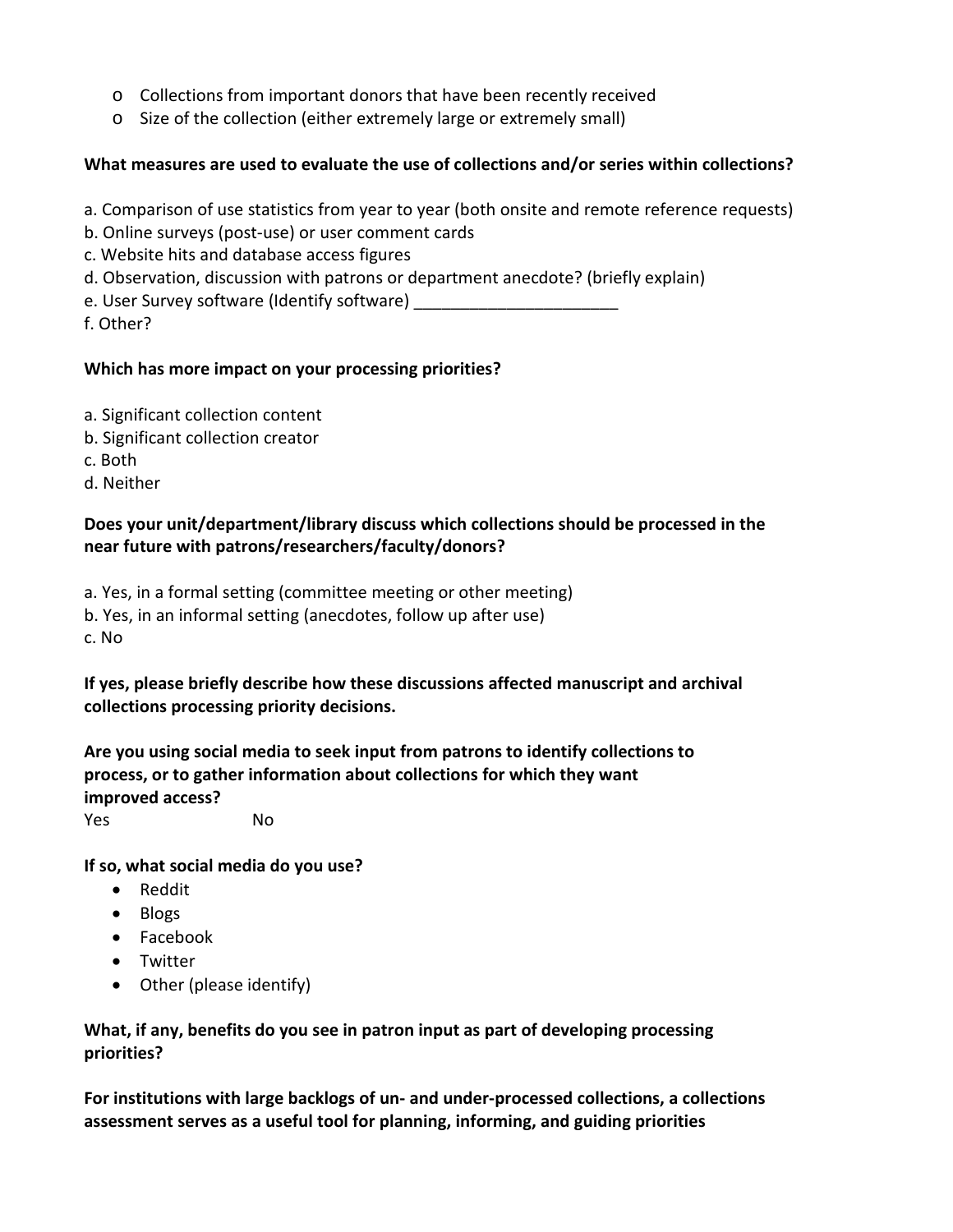- o Collections from important donors that have been recently received
- o Size of the collection (either extremely large or extremely small)

#### **What measures are used to evaluate the use of collections and/or series within collections?**

- a. Comparison of use statistics from year to year (both onsite and remote reference requests)
- b. Online surveys (post-use) or user comment cards
- c. Website hits and database access figures
- d. Observation, discussion with patrons or department anecdote? (briefly explain)
- e. User Survey software (Identify software)
- f. Other?

#### **Which has more impact on your processing priorities?**

- a. Significant collection content
- b. Significant collection creator
- c. Both
- d. Neither

#### **Does your unit/department/library discuss which collections should be processed in the near future with patrons/researchers/faculty/donors?**

- a. Yes, in a formal setting (committee meeting or other meeting)
- b. Yes, in an informal setting (anecdotes, follow up after use)

c. No

**If yes, please briefly describe how these discussions affected manuscript and archival collections processing priority decisions.**

**Are you using social media to seek input from patrons to identify collections to process, or to gather information about collections for which they want improved access?** Yes No

**If so, what social media do you use?**

- Reddit
- Blogs
- Facebook
- Twitter
- Other (please identify)

#### **What, if any, benefits do you see in patron input as part of developing processing priorities?**

**For institutions with large backlogs of un- and under-processed collections, a collections assessment serves as a useful tool for planning, informing, and guiding priorities**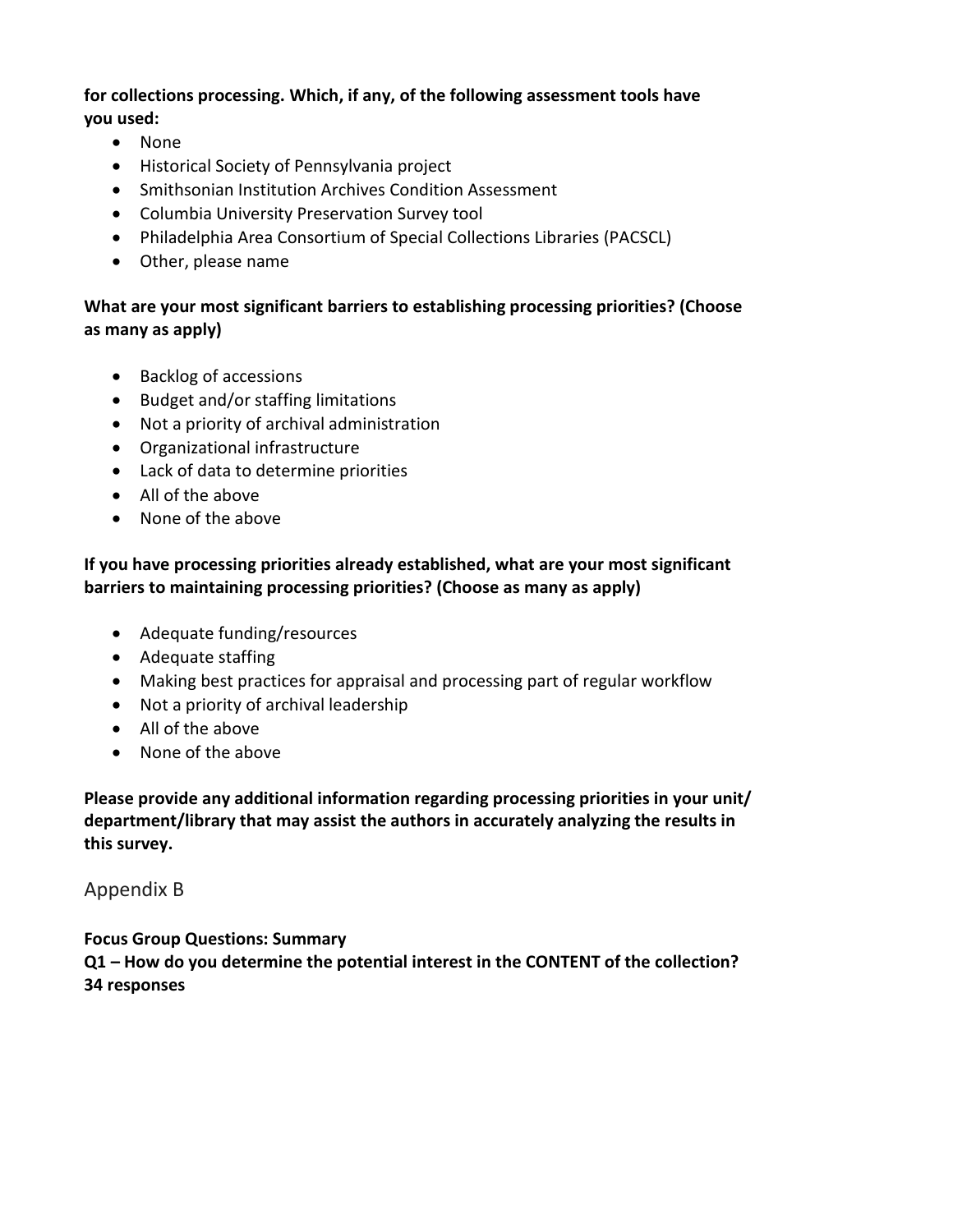#### **for collections processing. Which, if any, of the following assessment tools have you used:**

- None
- Historical Society of Pennsylvania project
- Smithsonian Institution Archives Condition Assessment
- Columbia University Preservation Survey tool
- Philadelphia Area Consortium of Special Collections Libraries (PACSCL)
- Other, please name

#### **What are your most significant barriers to establishing processing priorities? (Choose as many as apply)**

- Backlog of accessions
- Budget and/or staffing limitations
- Not a priority of archival administration
- Organizational infrastructure
- Lack of data to determine priorities
- All of the above
- None of the above

#### **If you have processing priorities already established, what are your most significant barriers to maintaining processing priorities? (Choose as many as apply)**

- Adequate funding/resources
- Adequate staffing
- Making best practices for appraisal and processing part of regular workflow
- Not a priority of archival leadership
- All of the above
- None of the above

**Please provide any additional information regarding processing priorities in your unit/ department/library that may assist the authors in accurately analyzing the results in this survey.**

#### Appendix B

**Focus Group Questions: Summary Q1 – How do you determine the potential interest in the CONTENT of the collection? 34 responses**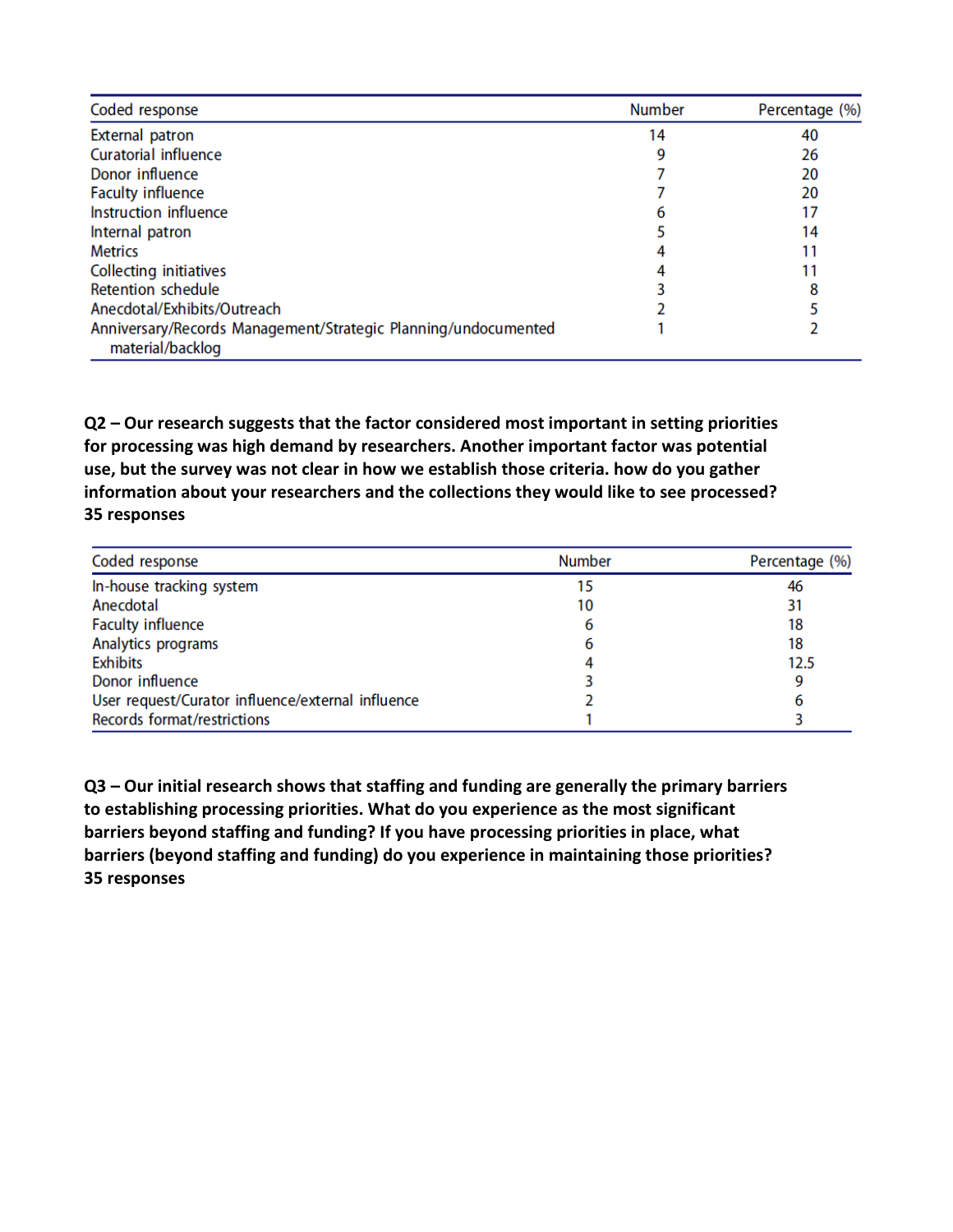| Coded response                                                                     | <b>Number</b> | Percentage (%) |
|------------------------------------------------------------------------------------|---------------|----------------|
| <b>External patron</b>                                                             | 14            | 40             |
| Curatorial influence                                                               |               | 26             |
| Donor influence                                                                    |               | 20             |
| <b>Faculty influence</b>                                                           |               | 20             |
| Instruction influence                                                              |               | 17             |
| Internal patron                                                                    |               | 14             |
| <b>Metrics</b>                                                                     |               | 11             |
| <b>Collecting initiatives</b>                                                      |               |                |
| <b>Retention schedule</b>                                                          |               | 8              |
| Anecdotal/Exhibits/Outreach                                                        |               |                |
| Anniversary/Records Management/Strategic Planning/undocumented<br>material/backlog |               |                |

**Q2 – Our research suggests that the factor considered most important in setting priorities for processing was high demand by researchers. Another important factor was potential use, but the survey was not clear in how we establish those criteria. how do you gather information about your researchers and the collections they would like to see processed? 35 responses**

| Coded response                                    | <b>Number</b> | Percentage (%) |
|---------------------------------------------------|---------------|----------------|
| In-house tracking system                          | 15            | 46             |
| Anecdotal                                         | 10            | 31             |
| <b>Faculty influence</b>                          | b             | 18             |
| Analytics programs                                |               | 18             |
| <b>Exhibits</b>                                   |               | 12.5           |
| Donor influence                                   |               | 9              |
| User request/Curator influence/external influence |               | 6              |
| Records format/restrictions                       |               |                |

**Q3 – Our initial research shows that staffing and funding are generally the primary barriers to establishing processing priorities. What do you experience as the most significant barriers beyond staffing and funding? If you have processing priorities in place, what barriers (beyond staffing and funding) do you experience in maintaining those priorities? 35 responses**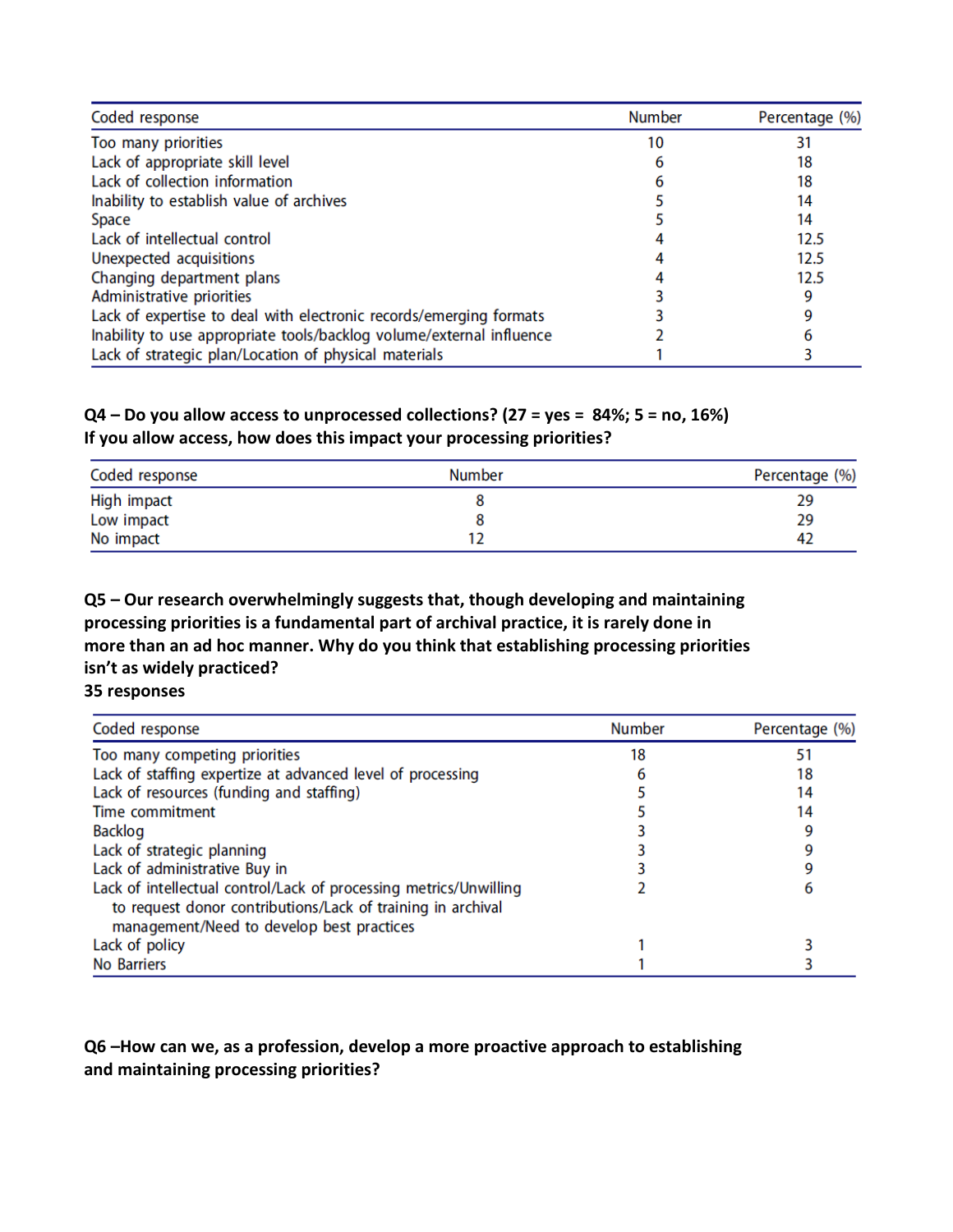| Coded response                                                       | <b>Number</b> | Percentage (%) |
|----------------------------------------------------------------------|---------------|----------------|
| Too many priorities                                                  | 10            |                |
| Lack of appropriate skill level                                      |               | 18             |
| Lack of collection information                                       |               | 18             |
| Inability to establish value of archives                             |               | 14             |
| Space                                                                |               | 14             |
| Lack of intellectual control                                         |               | 12.5           |
| Unexpected acquisitions                                              |               | 12.5           |
| Changing department plans                                            |               | 12.5           |
| Administrative priorities                                            |               | 9              |
| Lack of expertise to deal with electronic records/emerging formats   |               | g              |
| Inability to use appropriate tools/backlog volume/external influence |               |                |
| Lack of strategic plan/Location of physical materials                |               |                |

#### **Q4 – Do you allow access to unprocessed collections? (27 = yes = 84%; 5 = no, 16%) If you allow access, how does this impact your processing priorities?**

| Coded response | <b>Number</b> | Percentage (%) |
|----------------|---------------|----------------|
| High impact    |               | 29             |
| Low impact     |               | 29             |
| No impact      |               | 42             |

**Q5 – Our research overwhelmingly suggests that, though developing and maintaining processing priorities is a fundamental part of archival practice, it is rarely done in more than an ad hoc manner. Why do you think that establishing processing priorities isn't as widely practiced?**

**35 responses**

| Coded response                                                                                                                                                                | <b>Number</b> | Percentage (%) |
|-------------------------------------------------------------------------------------------------------------------------------------------------------------------------------|---------------|----------------|
| Too many competing priorities                                                                                                                                                 | 18            |                |
| Lack of staffing expertize at advanced level of processing                                                                                                                    |               | 18             |
| Lack of resources (funding and staffing)                                                                                                                                      |               | 14             |
| Time commitment                                                                                                                                                               |               | 14             |
| <b>Backlog</b>                                                                                                                                                                |               |                |
| Lack of strategic planning                                                                                                                                                    |               |                |
| Lack of administrative Buy in                                                                                                                                                 |               |                |
| Lack of intellectual control/Lack of processing metrics/Unwilling<br>to request donor contributions/Lack of training in archival<br>management/Need to develop best practices |               |                |
| Lack of policy                                                                                                                                                                |               |                |
| No Barriers                                                                                                                                                                   |               |                |

#### **Q6 –How can we, as a profession, develop a more proactive approach to establishing and maintaining processing priorities?**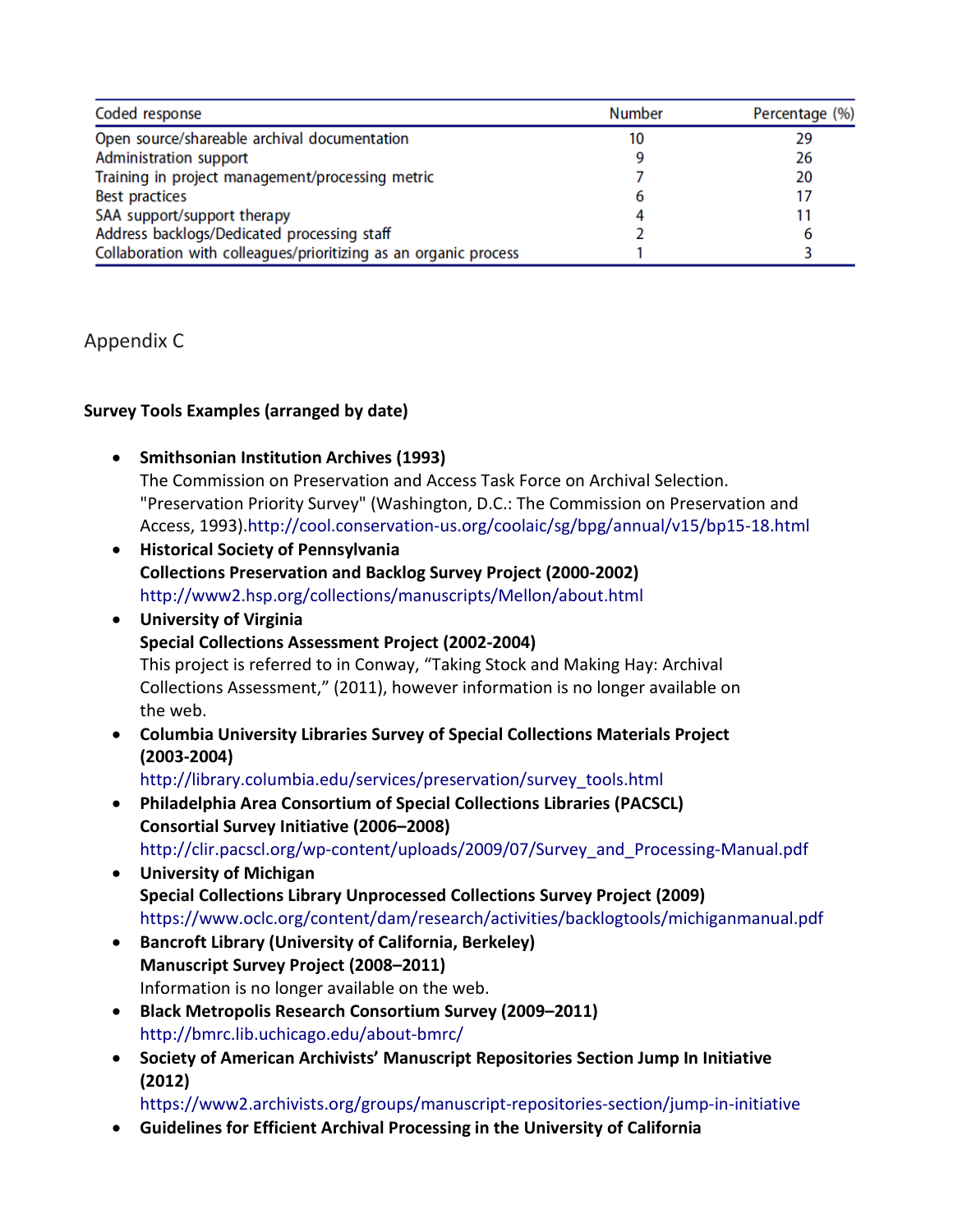| Coded response                                                   | <b>Number</b> | Percentage (%) |
|------------------------------------------------------------------|---------------|----------------|
| Open source/shareable archival documentation                     | 10            | 29             |
| Administration support                                           |               | 26             |
| Training in project management/processing metric                 |               | 20             |
| <b>Best practices</b>                                            |               | 17             |
| SAA support/support therapy                                      |               | 11             |
| Address backlogs/Dedicated processing staff                      |               | 6              |
| Collaboration with colleagues/prioritizing as an organic process |               |                |

#### Appendix C

#### **Survey Tools Examples (arranged by date)**

- **Smithsonian Institution Archives (1993)** The Commission on Preservation and Access Task Force on Archival Selection. "Preservation Priority Survey" (Washington, D.C.: The Commission on Preservation and Access, 1993).http://cool.conservation-us.org/coolaic/sg/bpg/annual/v15/bp15-18.html
- **Historical Society of Pennsylvania Collections Preservation and Backlog Survey Project (2000-2002)** http://www2.hsp.org/collections/manuscripts/Mellon/about.html
- **University of Virginia Special Collections Assessment Project (2002-2004)** This project is referred to in Conway, "Taking Stock and Making Hay: Archival Collections Assessment," (2011), however information is no longer available on the web.
- **Columbia University Libraries Survey of Special Collections Materials Project (2003-2004)**

http://library.columbia.edu/services/preservation/survey\_tools.html

- **Philadelphia Area Consortium of Special Collections Libraries (PACSCL) Consortial Survey Initiative (2006–2008)** http://clir.pacscl.org/wp-content/uploads/2009/07/Survey\_and\_Processing-Manual.pdf
- **University of Michigan Special Collections Library Unprocessed Collections Survey Project (2009)** https://www.oclc.org/content/dam/research/activities/backlogtools/michiganmanual.pdf
- **Bancroft Library (University of California, Berkeley) Manuscript Survey Project (2008–2011)** Information is no longer available on the web.
- **Black Metropolis Research Consortium Survey (2009–2011)** http://bmrc.lib.uchicago.edu/about-bmrc/
- **Society of American Archivists' Manuscript Repositories Section Jump In Initiative (2012)**

https://www2.archivists.org/groups/manuscript-repositories-section/jump-in-initiative

• **Guidelines for Efficient Archival Processing in the University of California**